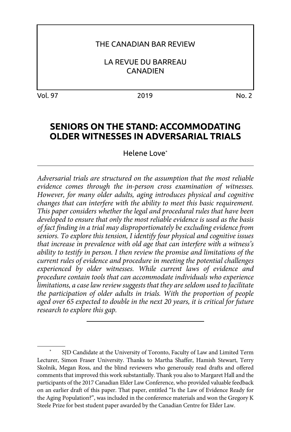#### THE CANADIAN BAR REVIEW

LA REVUE DU BARREAU **CANADIEN** 

Vol. 97 2019 No. 2

# **SENIORS ON THE STAND: ACCOMMODATING OLDER WITNESSES IN ADVERSARIAL TRIALS**

Helene Love\*

*Adversarial trials are structured on the assumption that the most reliable evidence comes through the in-person cross examination of witnesses. However, for many older adults, aging introduces physical and cognitive changes that can interfere with the ability to meet this basic requirement. This paper considers whether the legal and procedural rules that have been developed to ensure that only the most reliable evidence is used as the basis of fact finding in a trial may disproportionately be excluding evidence from seniors. To explore this tension, I identify four physical and cognitive issues that increase in prevalence with old age that can interfere with a witness's ability to testify in person. I then review the promise and limitations of the current rules of evidence and procedure in meeting the potential challenges experienced by older witnesses. While current laws of evidence and procedure contain tools that can accommodate individuals who experience limitations, a case law review suggests that they are seldom used to facilitate the participation of older adults in trials. With the proportion of people aged over 65 expected to double in the next 20 years, it is critical for future research to explore this gap.* 

SJD Candidate at the University of Toronto, Faculty of Law and Limited Term Lecturer, Simon Fraser University. Thanks to Martha Shaffer, Hamish Stewart, Terry Skolnik, Megan Ross, and the blind reviewers who generously read drafts and offered comments that improved this work substantially. Thank you also to Margaret Hall and the participants of the 2017 Canadian Elder Law Conference, who provided valuable feedback on an earlier draft of this paper. That paper, entitled "Is the Law of Evidence Ready for the Aging Population?", was included in the conference materials and won the Gregory K Steele Prize for best student paper awarded by the Canadian Centre for Elder Law.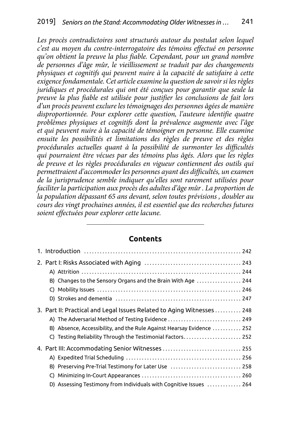Les procès contradictoires sont structurés autour du postulat selon lequel *c'est au moyen du contre-interrogatoire des témoins effectué en personne qu'on obtient la preuve la plus fiable. Cependant, pour un grand nombre de personnes d'âge mûr, le vieillissement se traduit par des changements physiques et cognitifs qui peuvent nuire à la capacité de satisfaire à cette exigence fondamentale. Cet article examine la question de savoir si les règles juridiques et procédurales qui ont été conçues pour garantir que seule la preuve la plus fiable est utilisée pour justifier les conclusions de fait lors d'un procès peuvent exclure les témoignages des personnes âgées de manière disproportionnée. Pour explorer cette question, l'auteure identifie quatre problèmes physiques et cognitifs dont la prévalence augmente avec l'âge et qui peuvent nuire à la capacité de témoigner en personne. Elle examine ensuite les possibilités et limitations des règles de preuve et des règles procédurales actuelles quant à la possibilité de surmonter les difficultés qui pourraient être vécues par des témoins plus âgés. Alors que les règles de preuve et les règles procédurales en vigueur contiennent des outils qui permettraient d'accommoder les personnes ayant des difficultés, un examen de la jurisprudence semble indiquer qu'elles sont rarement utilisées pour faciliter la participation aux procès des adultes d'âge mûr . La proportion de la population dépassant 65 ans devant, selon toutes prévisions , doubler au cours des vingt prochaines années, il est essentiel que des recherches futures soient effectuées pour explorer cette lacune.*

# 1. [Introduction . 242](#page-2-0) 2. [Part I: Risks Associated with Aging . 243](#page-3-0) A) [Attrition . 244](#page-4-0) B) Changes to the Sensory Organs and the Brain With Age .................. 244 C) [Mobility Issues . 246](#page-6-0) D) [Strokes and dementia . 247](#page-7-0) 3. [Part II: Practical and Legal Issues Related to Aging Witnesses . . . . . . . . . . 248](#page-8-0) A) The Adversarial Method of Testing Evidence ............................... 249 B) Absence, Accessibility, and the Rule Against Hearsay Evidence . . . . . . . . . . 252 C) [Testing Reliability Through the Testimonial Factors. . 252](#page-12-0) 4. [Part III: Accommodating Senior Witnesses . 255](#page-15-0) A) [Expedited Trial Scheduling . 256](#page-16-0) B) Preserving Pre-Trial Testimony for Later Use ............................... 258 C) [Minimizing In-Court Appearances . 260](#page-20-0) D) Assessing Testimony from Individuals with Cognitive Issues ............. 264

#### **Contents**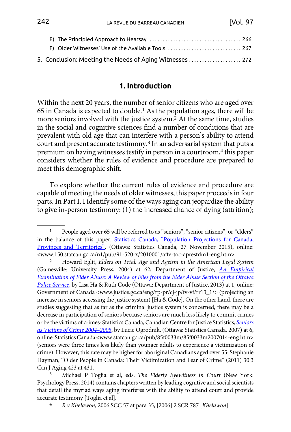<span id="page-2-0"></span>

| F) Older Witnesses' Use of the Available Tools  267      |  |
|----------------------------------------------------------|--|
| 5. Conclusion: Meeting the Needs of Aging Witnesses  272 |  |

### **1. Introduction**

Within the next 20 years, the number of senior citizens who are aged over 65 in Canada is expected to double.1 As the population ages, there will be more seniors involved with the justice system.<sup>2</sup> At the same time, studies in the social and cognitive sciences find a number of conditions that are prevalent with old age that can interfere with a person's ability to attend court and present accurate testimony.3 In an adversarial system that puts a premium on having witnesses testify in person in a courtroom,<sup>4</sup> this paper considers whether the rules of evidence and procedure are prepared to meet this demographic shift.

To explore whether the current rules of evidence and procedure are capable of meeting the needs of older witnesses, this paper proceeds in four parts. In Part I, I identify some of the ways aging can jeopardize the ability to give in-person testimony: (1) the increased chance of dying (attrition);

<sup>&</sup>lt;sup>1</sup> People aged over 65 will be referred to as "seniors", "senior citizens", or "elders" in the balance of this paper. [Statistics Canada, "Population Projections for Canada,](http://www.150.statcan.gc.ca/n1/pub/91-520-x/2010001/aftertoc-aprestdm1-eng.htm) [Provinces and Territories"](http://www.150.statcan.gc.ca/n1/pub/91-520-x/2010001/aftertoc-aprestdm1-eng.htm), (Ottawa: Statistics Canada, 27 November 2015), online: <www.150.statcan.gc.ca/n1/pub/91-520-x/2010001/aftertoc-aprestdm1-eng.htm>. 2 Howard Eglit, *Elders on Trial: Age and Ageism in the American Legal System*

<sup>(</sup>Gainesville: University Press, 2004) at 62; Department of Justice, *[An Empirical](http://www.justice.gc.ca/eng/rp-pr/cj-jp/fv-vf/rr13_1/) [Examination of Elder Abuse: A Review of Files from the Elder Abuse Section of the Ottawa](http://www.justice.gc.ca/eng/rp-pr/cj-jp/fv-vf/rr13_1/) [Police Service](http://www.justice.gc.ca/eng/rp-pr/cj-jp/fv-vf/rr13_1/)*, by Lisa Ha & Ruth Code (Ottawa: Department of Justice, 2013) at 1, online: Government of Canada <www.justice.gc.ca/eng/rp-pr/cj-jp/fv-vf/rr13\_1/> (projecting an increase in seniors accessing the justice system) [Ha & Code]. On the other hand, there are studies suggesting that as far as the criminal justice system is concerned, there may be a decrease in participation of seniors because seniors are much less likely to commit crimes or be the victims of crimes: Statistics Canada, Canadian Centre for Justice Statistics, *[Seniors](http://www.statcan.gc.ca/pub/85f0033m/85f0033m2007014-eng.htm) [as Victims of Crime 2004–2005](http://www.statcan.gc.ca/pub/85f0033m/85f0033m2007014-eng.htm)*, by Lucie Ogrodnik, (Ottawa: Statistics Canada, 2007) at 6, online: Statistics Canada <www.statcan.gc.ca/pub/85f0033m/85f0033m2007014-eng.htm> (seniors were three times less likely than younger adults to experience a victimization of crime). However, this rate may be higher for aboriginal Canadians aged over 55: Stephanie Hayman, "Older People in Canada: Their Victimization and Fear of Crime" (2011) 30:3 Can J Aging 423 at 431.

<sup>3</sup> Michael P Toglia et al, eds, *The Elderly Eyewitness in Court* (New York: Psychology Press, 2014) contains chapters written by leading cognitive and social scientists that detail the myriad ways aging interferes with the ability to attend court and provide accurate testimony [Toglia et al].

<sup>4</sup> *R v Khelawon*, 2006 SCC 57 at para 35, [2006] 2 SCR 787 [*Khelawon*].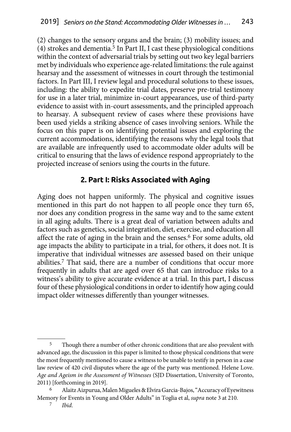<span id="page-3-0"></span>(2) changes to the sensory organs and the brain; (3) mobility issues; and (4) strokes and dementia.5 In Part II, I cast these physiological conditions within the context of adversarial trials by setting out two key legal barriers met by individuals who experience age-related limitations: the rule against hearsay and the assessment of witnesses in court through the testimonial factors. In Part III, I review legal and procedural solutions to these issues, including: the ability to expedite trial dates, preserve pre-trial testimony for use in a later trial, minimize in-court appearances, use of third-party evidence to assist with in-court assessments, and the principled approach to hearsay. A subsequent review of cases where these provisions have been used yields a striking absence of cases involving seniors. While the focus on this paper is on identifying potential issues and exploring the current accommodations, identifying the reasons why the legal tools that are available are infrequently used to accommodate older adults will be critical to ensuring that the laws of evidence respond appropriately to the projected increase of seniors using the courts in the future.

### **2. Part I: Risks Associated with Aging**

Aging does not happen uniformly. The physical and cognitive issues mentioned in this part do not happen to all people once they turn 65, nor does any condition progress in the same way and to the same extent in all aging adults. There is a great deal of variation between adults and factors such as genetics, social integration, diet, exercise, and education all affect the rate of aging in the brain and the senses.6 For some adults, old age impacts the ability to participate in a trial, for others, it does not. It is imperative that individual witnesses are assessed based on their unique abilities.7 That said, there are a number of conditions that occur more frequently in adults that are aged over 65 that can introduce risks to a witness's ability to give accurate evidence at a trial. In this part, I discuss four of these physiological conditions in order to identify how aging could impact older witnesses differently than younger witnesses.

<sup>5</sup> Though there a number of other chronic conditions that are also prevalent with advanced age, the discussion in this paper is limited to those physical conditions that were the most frequently mentioned to cause a witness to be unable to testify in person in a case law review of 420 civil disputes where the age of the party was mentioned. Helene Love. *Age and Ageism in the Assessment of Witnesses* (SJD Dissertation, University of Toronto, 2011) [forthcoming in 2019].

<sup>6</sup> Alaitz Aizpurua, Malen Migueles & Elvira Garcia-Bajos, "Accuracy of Eyewitness Memory for Events in Young and Older Adults" in Toglia et al, *supra* note 3 at 210.

<sup>7</sup> *Ibid*.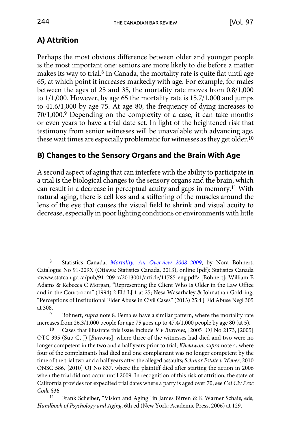# <span id="page-4-0"></span>**A) Attrition**

Perhaps the most obvious difference between older and younger people is the most important one: seniors are more likely to die before a matter makes its way to trial.8 In Canada, the mortality rate is quite flat until age 65, at which point it increases markedly with age. For example, for males between the ages of 25 and 35, the mortality rate moves from 0.8/1,000 to 1/1,000. However, by age 65 the mortality rate is 15.7/1,000 and jumps to 41.6/1,000 by age 75. At age 80, the frequency of dying increases to 70/1,000.9 Depending on the complexity of a case, it can take months or even years to have a trial date set. In light of the heightened risk that testimony from senior witnesses will be unavailable with advancing age, these wait times are especially problematic for witnesses as they get older.<sup>10</sup>

# **B) Changes to the Sensory Organs and the Brain With Age**

A second aspect of aging that can interfere with the ability to participate in a trial is the biological changes to the sensory organs and the brain, which can result in a decrease in perceptual acuity and gaps in memory.11 With natural aging, there is cell loss and a stiffening of the muscles around the lens of the eye that causes the visual field to shrink and visual acuity to decrease, especially in poor lighting conditions or environments with little

<sup>8</sup> Statistics Canada, *[Mortality: An Overview 2008–2009](http://www.statcan.gc.ca/pub/91-209-x/2013001/article/11785-eng.pdf)*, by Nora Bohnert, Catalogue No 91-209X (Ottawa: Statistics Canada, 2013), online (pdf): Statistics Canada <www.statcan.gc.ca/pub/91-209-x/2013001/article/11785-eng.pdf> [Bohnert]; William E Adams & Rebecca C Morgan, "Representing the Client Who Is Older in the Law Office and in the Courtroom" (1994) 2 Eld LJ 1 at 25; Nesa Wasarhaley & Johnathan Goldring, "Perceptions of Institutional Elder Abuse in Civil Cases" (2013) 25:4 J Eld Abuse Negl 305 at 308.

<sup>9</sup> Bohnert, *supra* note 8*.* Females have a similar pattern, where the mortality rate increases from 26.3/1,000 people for age 75 goes up to 47.4/1,000 people by age 80 (at 5).

Cases that illustrate this issue include  $R \nu$  *Burrows*, [2005] OJ No 2173, [2005] OTC 395 (Sup Ct J) [*Burrows*], where three of the witnesses had died and two were no longer competent in the two and a half years prior to trial; *Khelawon*, *supra* note 4, where four of the complainants had died and one complainant was no longer competent by the time of the trial two and a half years after the alleged assaults; *Schmor Estate v Weber*, 2010 ONSC 586, [2010] OJ No 837, where the plaintiff died after starting the action in 2006 when the trial did not occur until 2009. In recognition of this risk of attrition, the state of California provides for expedited trial dates where a party is aged over 70, see *Cal Civ Proc Code* §36.

<sup>11</sup> Frank Scheiber, "Vision and Aging" in James Birren & K Warner Schaie, eds, *Handbook of Psychology and Aging*, 6th ed (New York: Academic Press, 2006) at 129.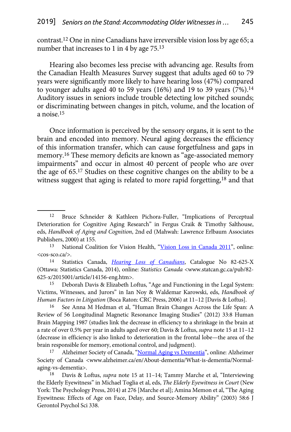contrast.12 One in nine Canadians have irreversible vision loss by age 65; a number that increases to 1 in 4 by age 75.<sup>13</sup>

Hearing also becomes less precise with advancing age. Results from the Canadian Health Measures Survey suggest that adults aged 60 to 79 years were significantly more likely to have hearing loss (47%) compared to younger adults aged 40 to 59 years (16%) and 19 to 39 years (7%).<sup>14</sup> Auditory issues in seniors include trouble detecting low pitched sounds; or discriminating between changes in pitch, volume, and the location of a noise.15

Once information is perceived by the sensory organs, it is sent to the brain and encoded into memory. Neural aging decreases the efficiency of this information transfer, which can cause forgetfulness and gaps in memory.16 These memory deficits are known as "age-associated memory impairments" and occur in almost 40 percent of people who are over the age of 65.17 Studies on these cognitive changes on the ability to be a witness suggest that aging is related to more rapid forgetting,18 and that

<cos-sco.ca/>. 14 Statistics Canada, *[Hearing Loss of Canadians](http://www.statcan.gc.ca/pub/82-625-x/2015001/article/14156-eng.htm)*, Catalogue No 82-625-X (Ottawa: Statistics Canada, 2014), online: *Statistics Canada* <www.statcan.gc.ca/pub/82- 625-x/2015001/article/14156-eng.htm>.

15 Deborah Davis & Elizabeth Loftus, "Age and Functioning in the Legal System: Victims, Witnesses, and Jurors" in Ian Noy & Waldemar Karowski, eds, *Handbook of Human Factors in Litigation* (Boca Raton: CRC Press, 2006) at 11–12 [Davis & Loftus].

16 See Anna M Hedman et al, "Human Brain Changes Across the Life Span: A Review of 56 Longitudinal Magnetic Resonance Imaging Studies" (2012) 33:8 Human Brain Mapping 1987 (studies link the decrease in efficiency to a shrinkage in the brain at a rate of over 0.5% per year in adults aged over 60; Davis & Loftus, *supra* note 15 at 11–12 (decrease in efficiency is also linked to deterioration in the frontal lobe—the area of the brain responsible for memory, emotional control, and judgment).

17 Alzheimer Society of Canada, ["Normal Aging vs Dementia"](http://www.alzheimer.ca/en/About-dementia/What-is-dementia/Normal-aging-vs-dementia), online: Alzheimer Society of Canada <www.alzheimer.ca/en/About-dementia/What-is-dementia/Normalaging-vs-dementia>.

18 Davis & Loftus, *supra* note 15 at 11–14; Tammy Marche et al, "Interviewing the Elderly Eyewitness" in Michael Toglia et al, eds, *The Elderly Eyewitness in Court* (New York: The Psychology Press, 2014) at 276 [Marche et al]; Amina Memon et al, "The Aging Eyewitness: Effects of Age on Face, Delay, and Source-Memory Ability" (2003) 58:6 J Gerontol Psychol Sci 338.

<sup>12</sup> Bruce Schneider & Kathleen Pichora-Fuller, "Implications of Perceptual Deterioration for Cognitive Aging Research" in Fergus Craik & Timothy Salthouse, eds, *Handbook of Aging and Cognition*, 2nd ed (Mahwah: Lawrence Erlbaum Associates Publishers, 2000) at 155.

<sup>13</sup> National Coalition for Vision Health, ["Vision Loss in Canada 2011"](http://cos-sco.ca/), online: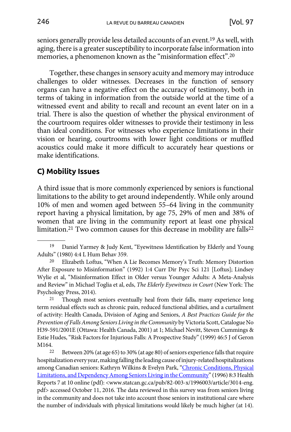<span id="page-6-0"></span>seniors generally provide less detailed accounts of an event.19 As well, with aging, there is a greater susceptibility to incorporate false information into memories, a phenomenon known as the "misinformation effect".20

Together, these changes in sensory acuity and memory may introduce challenges to older witnesses. Decreases in the function of sensory organs can have a negative effect on the accuracy of testimony, both in terms of taking in information from the outside world at the time of a witnessed event and ability to recall and recount an event later on in a trial. There is also the question of whether the physical environment of the courtroom requires older witnesses to provide their testimony in less than ideal conditions. For witnesses who experience limitations in their vision or hearing, courtrooms with lower light conditions or muffled acoustics could make it more difficult to accurately hear questions or make identifications.

## **C) Mobility Issues**

A third issue that is more commonly experienced by seniors is functional limitations to the ability to get around independently. While only around 10% of men and women aged between 55–64 living in the community report having a physical limitation, by age 75, 29% of men and 38% of women that are living in the community report at least one physical limitation.<sup>21</sup> Two common causes for this decrease in mobility are falls<sup>22</sup>

Psychology Press, 2014).<br><sup>21</sup> Though most seniors eventually heal from their falls, many experience long term residual effects such as chronic pain, reduced functional abilities, and a curtailment of activity: Health Canada, Division of Aging and Seniors, *A Best Practices Guide for the Prevention of Falls Among Seniors Living in the Community* by Victoria Scott, Catalogue No H39-591/2001E (Ottawa: Health Canada, 2001) at 1; Michael Nevitt, Steven Cummings & Estie Hudes, "Risk Factors for Injurious Falls: A Prospective Study" (1999) 46:5 J of Geron

M164.<br><sup>22</sup> Between 20% (at age 65) to 30% (at age 80) of seniors experience falls that require hospitalization every year, making falling the leading cause of injury-related hospitalizations among Canadian seniors: Kathryn Wilkins & Evelyn Park, ["Chronic Conditions, Physical](http://www.statcan.gc.ca/pub/82-003-x/1996003/article/3014-eng.pdf) [Limitations, and Dependency Among Seniors Living in the Community"](http://www.statcan.gc.ca/pub/82-003-x/1996003/article/3014-eng.pdf) (1996) 8:3 Health Reports 7 at 10 online (pdf): <www.statcan.gc.ca/pub/82-003-x/1996003/article/3014-eng. pdf> accessed October 11, 2016. The data reviewed in this survey was from seniors living in the community and does not take into account those seniors in institutional care where the number of individuals with physical limitations would likely be much higher (at 14).

<sup>19</sup> Daniel Yarmey & Judy Kent, "Eyewitness Identification by Elderly and Young Adults" (1980) 4:4 L Hum Behav 359.

<sup>20</sup> Elizabeth Loftus, "When A Lie Becomes Memory's Truth: Memory Distortion After Exposure to Misinformation" (1992) 1:4 Curr Dir Psyc Sci 121 [Loftus]; Lindsey Wylie et al, "Misinformation Effect in Older versus Younger Adults: A Meta-Analysis and Review" in Michael Toglia et al, eds, *The Elderly Eyewitness in Court* (New York: The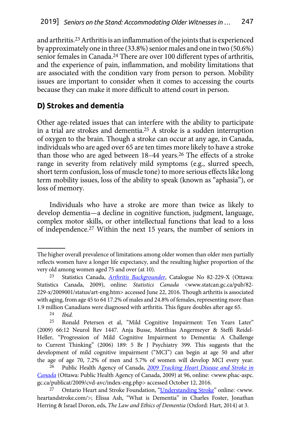<span id="page-7-0"></span>and arthritis.23 Arthritis is an inflammation of the joints that is experienced by approximately one in three (33.8%) senior males and one in two (50.6%) senior females in Canada.<sup>24</sup> There are over 100 different types of arthritis, and the experience of pain, inflammation, and mobility limitations that are associated with the condition vary from person to person. Mobility issues are important to consider when it comes to accessing the courts because they can make it more difficult to attend court in person.

# **D) Strokes and dementia**

Other age-related issues that can interfere with the ability to participate in a trial are strokes and dementia.25 A stroke is a sudden interruption of oxygen to the brain. Though a stroke can occur at any age, in Canada, individuals who are aged over 65 are ten times more likely to have a stroke than those who are aged between 18-44 years.<sup>26</sup> The effects of a stroke range in severity from relatively mild symptoms (e.g., slurred speech, short term confusion, loss of muscle tone) to more serious effects like long term mobility issues, loss of the ability to speak (known as "aphasia"), or loss of memory.

Individuals who have a stroke are more than twice as likely to develop dementia—a decline in cognitive function, judgment, language, complex motor skills, or other intellectual functions that lead to a loss of independence.27 Within the next 15 years, the number of seniors in

The higher overall prevalence of limitations among older women than older men partially reflects women have a longer life expectancy, and the resulting higher proportion of the very old among women aged 75 and over (at 10).

<sup>23</sup> Statistics Canada, *[Arthritis Backgrounder](http://www.statcan.gc.ca/pub/82-229-x/2009001/status/art-eng.htm)*, Catalogue No 82-229-X (Ottawa: Statistics Canada, 2009), online: *Statistics Canada* <www.statcan.gc.ca/pub/82- 229-x/2009001/status/art-eng.htm> accessed June 22, 2016. Though arthritis is associated with aging, from age 45 to 64 17.2% of males and 24.8% of females, representing more than 1.9 million Canadians were diagnosed with arthritis. This figure doubles after age 65. 24 *Ibid.* 

Ronald Petersen et al, "Mild Cognitive Impairment: Ten Years Later" (2009) 66:12 Neurol Rev 1447. Anja Busse, Metthias Angermeyer & Steffi Reidel-Heller, "Progression of Mild Cognitive Impairment to Dementia: A Challenge to Current Thinking" (2006) 189: 5 Br J Psychiatry 399. This suggests that the development of mild cognitive impairment ("MCI") can begin at age 50 and after the age of age 70, 7.2% of men and 5.7% of women will develop MCI every year.

<sup>26</sup> Public Health Agency of Canada, *[2009 Tracking Heart Disease and Stroke in](http://www.phac-aspc.gc.ca/publicat/2009/cvd-avc/index-eng.php)  [Canada](http://www.phac-aspc.gc.ca/publicat/2009/cvd-avc/index-eng.php)* (Ottawa: Public Health Agency of Canada, 2009) at 96, online: <www.phac-aspc. gc.ca/publicat/2009/cvd-avc/index-eng.php> accessed October 12, 2016.

Ontario Heart and Stroke Foundation, "[Understanding Stroke](http://www.heartandstroke.com/)" online: <www. heartandstroke.com/>; Elissa Ash, "What is Dementia" in Charles Foster, Jonathan Herring & Israel Doron, eds, *The Law and Ethics of Dementia* (Oxford: Hart, 2014) at 3.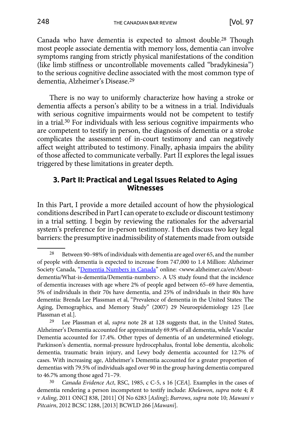<span id="page-8-0"></span>Canada who have dementia is expected to almost double.28 Though most people associate dementia with memory loss, dementia can involve symptoms ranging from strictly physical manifestations of the condition (like limb stiffness or uncontrollable movements called "bradykinesia") to the serious cognitive decline associated with the most common type of dementia, Alzheimer's Disease.29

There is no way to uniformly characterize how having a stroke or dementia affects a person's ability to be a witness in a trial. Individuals with serious cognitive impairments would not be competent to testify in a trial.30 For individuals with less serious cognitive impairments who are competent to testify in person, the diagnosis of dementia or a stroke complicates the assessment of in-court testimony and can negatively affect weight attributed to testimony. Finally, aphasia impairs the ability of those affected to communicate verbally. Part II explores the legal issues triggered by these limitations in greater depth.

#### **3. Part II: Practical and Legal Issues Related to Aging Witnesses**

In this Part, I provide a more detailed account of how the physiological conditions described in Part I can operate to exclude or discount testimony in a trial setting. I begin by reviewing the rationales for the adversarial system's preference for in-person testimony. I then discuss two key legal barriers: the presumptive inadmissibility of statements made from outside

<sup>&</sup>lt;sup>28</sup> Between 90-98% of individuals with dementia are aged over 65, and the number of people with dementia is expected to increase from 747,000 to 1.4 Million: Alzheimer Society Canada, "[Dementia Numbers in Canada"](http://www.alzheimer.ca/en/About-dementia/What-is-dementia/Dementia-numbers) online: <www.alzheimer.ca/en/Aboutdementia/What-is-dementia/Dementia-numbers>. A US study found that the incidence of dementia increases with age where 2% of people aged between 65–69 have dementia, 5% of individuals in their 70s have dementia, and 25% of individuals in their 80s have dementia: Brenda Lee Plassman et al, "Prevalence of dementia in the United States: The Aging, Demographics, and Memory Study" (2007) 29 Neuroepidemiology 125 [Lee Plassman et al.].

<sup>29</sup> Lee Plassman et al, *supra* note 28 at 128 suggests that, in the United States, Alzheimer's Dementia accounted for approximately 69.9% of all dementia, while Vascular Dementia accounted for 17.4%. Other types of dementia of an undetermined etiology, Parkinson's dementia, normal-pressure hydrocephalus, frontal lobe dementia, alcoholic dementia, traumatic brain injury, and Lewy body dementia accounted for 12.7% of cases. With increasing age, Alzheimer's Dementia accounted for a greater proportion of dementias with 79.5% of individuals aged over 90 in the group having dementia compared to 46.7% among those aged 71–79.

<sup>30</sup> *Canada Evidence Act*, RSC, 1985, c C-5, s 16 [*CEA*]. Examples in the cases of dementia rendering a person incompetent to testify include: *Khelawon*, *supra* note 4; *R v Asling*, 2011 ONCJ 838, [2011] OJ No 6283 [*Asling*]; *Burrows*, *supra* note 10; *Mawani v Pitcairn*, 2012 BCSC 1288, [2013] BCWLD 266 [*Mawani*].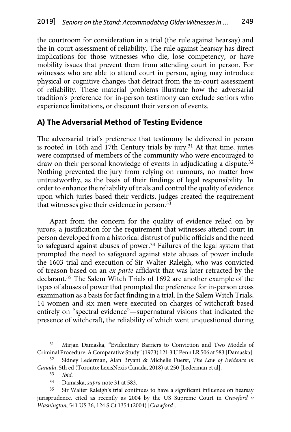<span id="page-9-0"></span>the courtroom for consideration in a trial (the rule against hearsay) and the in-court assessment of reliability. The rule against hearsay has direct implications for those witnesses who die, lose competency, or have mobility issues that prevent them from attending court in person. For witnesses who are able to attend court in person, aging may introduce physical or cognitive changes that detract from the in-court assessment of reliability. These material problems illustrate how the adversarial tradition's preference for in-person testimony can exclude seniors who experience limitations, or discount their version of events.

### **A) The Adversarial Method of Testing Evidence**

The adversarial trial's preference that testimony be delivered in person is rooted in 16th and 17th Century trials by jury.<sup>31</sup> At that time, juries were comprised of members of the community who were encouraged to draw on their personal knowledge of events in adjudicating a dispute.<sup>32</sup> Nothing prevented the jury from relying on rumours, no matter how untrustworthy, as the basis of their findings of legal responsibility. In order to enhance the reliability of trials and control the quality of evidence upon which juries based their verdicts, judges created the requirement that witnesses give their evidence in person.33

Apart from the concern for the quality of evidence relied on by jurors, a justification for the requirement that witnesses attend court in person developed from a historical distrust of public officials and the need to safeguard against abuses of power.34 Failures of the legal system that prompted the need to safeguard against state abuses of power include the 1603 trial and execution of Sir Walter Raleigh, who was convicted of treason based on an *ex parte* affidavit that was later retracted by the declarant.35 The Salem Witch Trials of 1692 are another example of the types of abuses of power that prompted the preference for in-person cross examination as a basis for fact finding in a trial. In the Salem Witch Trials, 14 women and six men were executed on charges of witchcraft based entirely on "spectral evidence"—supernatural visions that indicated the presence of witchcraft, the reliability of which went unquestioned during

<sup>31</sup> Mirjan Damaska, "Evidentiary Barriers to Conviction and Two Models of Criminal Procedure: A Comparative Study" (1973) 121:3 U Penn LR 506 at 583 [Damaska].

<sup>32</sup> Sidney Lederman, Alan Bryant & Michelle Fuerst, *The Law of Evidence in Canada*, 5th ed (Toronto: LexisNexis Canada, 2018) at 250 [Lederman et al].

<sup>33</sup> *Ibid.* 

<sup>34</sup> Damaska, *supra* note 31 at 583.

<sup>&</sup>lt;sup>35</sup> Sir Walter Raleigh's trial continues to have a significant influence on hearsay jurisprudence, cited as recently as 2004 by the US Supreme Court in *Crawford v Washington*, 541 US 36, 124 S Ct 1354 (2004) [*Crawford*].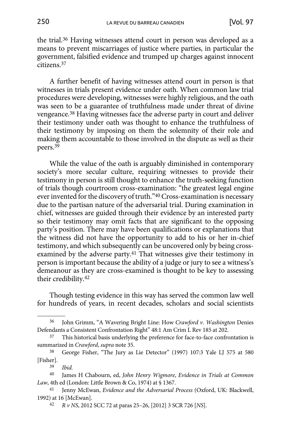the trial.36 Having witnesses attend court in person was developed as a means to prevent miscarriages of justice where parties, in particular the government, falsified evidence and trumped up charges against innocent citizens.37

A further benefit of having witnesses attend court in person is that witnesses in trials present evidence under oath. When common law trial procedures were developing, witnesses were highly religious, and the oath was seen to be a guarantee of truthfulness made under threat of divine vengeance.38 Having witnesses face the adverse party in court and deliver their testimony under oath was thought to enhance the truthfulness of their testimony by imposing on them the solemnity of their role and making them accountable to those involved in the dispute as well as their peers.39

While the value of the oath is arguably diminished in contemporary society's more secular culture, requiring witnesses to provide their testimony in person is still thought to enhance the truth-seeking function of trials though courtroom cross-examination: "the greatest legal engine ever invented for the discovery of truth."40 Cross-examination is necessary due to the partisan nature of the adversarial trial. During examination in chief, witnesses are guided through their evidence by an interested party so their testimony may omit facts that are significant to the opposing party's position. There may have been qualifications or explanations that the witness did not have the opportunity to add to his or her in-chief testimony, and which subsequently can be uncovered only by being crossexamined by the adverse party.41 That witnesses give their testimony in person is important because the ability of a judge or jury to see a witness's demeanour as they are cross-examined is thought to be key to assessing their credibility.42

Though testing evidence in this way has served the common law well for hundreds of years, in recent decades, scholars and social scientists

<sup>36</sup> John Grimm, "A Wavering Bright Line: How *Crawford v. Washington* Denies Defendants a Consistent Confrontation Right" 48:1 Am Crim L Rev 185 at 202.

This historical basis underlying the preference for face-to-face confrontation is summarized in *Crawford*, *supra* note 35.

<sup>38</sup> George Fisher, "The Jury as Lie Detector" (1997) 107:3 Yale LJ 575 at 580 [Fisher].

<sup>39</sup> *Ibid.* 

<sup>40</sup> James H Chabourn, ed, *John Henry Wigmore*, *Evidence in Trials at Common Law*, 4th ed (London: Little Brown & Co, 1974) at § 1367.

<sup>41</sup> Jenny McEwan, *Evidence and the Adversarial Process* (Oxford, UK: Blackwell, 1992) at 16 [McEwan].

<sup>42</sup> *R v NS*, 2012 SCC 72 at paras 25–26, [2012] 3 SCR 726 [*NS*].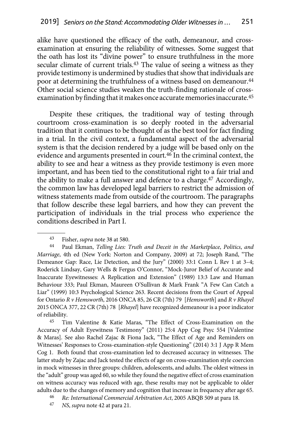alike have questioned the efficacy of the oath, demeanour, and crossexamination at ensuring the reliability of witnesses. Some suggest that the oath has lost its "divine power" to ensure truthfulness in the more secular climate of current trials.<sup>43</sup> The value of seeing a witness as they provide testimony is undermined by studies that show that individuals are poor at determining the truthfulness of a witness based on demeanour.<sup>44</sup> Other social science studies weaken the truth-finding rationale of crossexamination by finding that it makes once accurate memories inaccurate.45

Despite these critiques, the traditional way of testing through courtroom cross-examination is so deeply rooted in the adversarial tradition that it continues to be thought of as the best tool for fact finding in a trial. In the civil context, a fundamental aspect of the adversarial system is that the decision rendered by a judge will be based only on the evidence and arguments presented in court.46 In the criminal context, the ability to see and hear a witness as they provide testimony is even more important, and has been tied to the constitutional right to a fair trial and the ability to make a full answer and defence to a charge.<sup>47</sup> Accordingly, the common law has developed legal barriers to restrict the admission of witness statements made from outside of the courtroom. The paragraphs that follow describe these legal barriers, and how they can prevent the participation of individuals in the trial process who experience the conditions described in Part I.

45 Tim Valentine & Katie Maras, "The Effect of Cross-Examination on the Accuracy of Adult Eyewitness Testimony" (2011) 25:4 App Cog Psyc 554 [Valentine & Maras]. See also Rachel Zajac & Fiona Jack, "The Effect of Age and Reminders on Witnesses' Responses to Cross-examination-style Questioning" (2014) 3:1 J App R Mem Cog 1. Both found that cross-examination led to decreased accuracy in witnesses. The latter study by Zajac and Jack tested the effects of age on cross-examination style coercion in mock witnesses in three groups: children, adolescents, and adults. The oldest witness in the "adult" group was aged 60, so while they found the negative effect of cross examination on witness accuracy was reduced with age, these results may not be applicable to older adults due to the changes of memory and cognition that increase in frequency after age 65.

- 46 *Re: International Commercial Arbitration Act*, 2005 ABQB 509 at para 18.
- 47 *NS*, *supra* note 42 at para 21.

<sup>43</sup> Fisher, *supra* note 38 at 580.

<sup>44</sup> Paul Ekman, *Telling Lies: Truth and Deceit in the Marketplace*, *Politics*, *and Marriage*, 4th ed (New York: Norton and Company, 2009) at 72; Joseph Rand, "The Demeanor Gap: Race, Lie Detection, and the Jury" (2000) 33:1 Conn L Rev 1 at 3–4; Roderick Lindsay, Gary Wells & Fergus O'Connor, "Mock-Juror Belief of Accurate and Inaccurate Eyewitnesses: A Replication and Extension" (1989) 13:3 Law and Human Behaviour 333; Paul Ekman, Maureen O'Sullivan & Mark Frank "A Few Can Catch a Liar" (1999) 10:3 Psychological Science 263. Recent decisions from the Court of Appeal for Ontario *R v Hemsworth*, 2016 ONCA 85, 26 CR (7th) 79 [*Hemsworth*] and *R v Rhayel*  2015 ONCA 377, 22 CR (7th) 78 [*Rhayel*] have recognized demeanour is a poor indicator of reliability.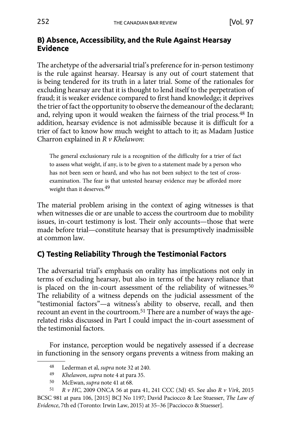## <span id="page-12-0"></span>**B) Absence, Accessibility, and the Rule Against Hearsay Evidence**

The archetype of the adversarial trial's preference for in-person testimony is the rule against hearsay. Hearsay is any out of court statement that is being tendered for its truth in a later trial. Some of the rationales for excluding hearsay are that it is thought to lend itself to the perpetration of fraud; it is weaker evidence compared to first hand knowledge; it deprives the trier of fact the opportunity to observe the demeanour of the declarant; and, relying upon it would weaken the fairness of the trial process.48 In addition, hearsay evidence is not admissible because it is difficult for a trier of fact to know how much weight to attach to it; as Madam Justice Charron explained in *R v Khelawon*:

The general exclusionary rule is a recognition of the difficulty for a trier of fact to assess what weight, if any, is to be given to a statement made by a person who has not been seen or heard, and who has not been subject to the test of crossexamination. The fear is that untested hearsay evidence may be afforded more weight than it deserves.49

The material problem arising in the context of aging witnesses is that when witnesses die or are unable to access the courtroom due to mobility issues, in-court testimony is lost. Their only accounts—those that were made before trial—constitute hearsay that is presumptively inadmissible at common law.

# **C) Testing Reliability Through the Testimonial Factors**

The adversarial trial's emphasis on orality has implications not only in terms of excluding hearsay, but also in terms of the heavy reliance that is placed on the in-court assessment of the reliability of witnesses.<sup>50</sup> The reliability of a witness depends on the judicial assessment of the "testimonial factors"—a witness's ability to observe, recall, and then recount an event in the courtroom.51 There are a number of ways the agerelated risks discussed in Part I could impact the in-court assessment of the testimonial factors.

For instance, perception would be negatively assessed if a decrease in functioning in the sensory organs prevents a witness from making an

<sup>48</sup> Lederman et al, *supra* note 32 at 240.

<sup>49</sup> *Khelawon*, *supra* note 4 at para 35.

<sup>50</sup> McEwan, *supra* note 41 at 68.

<sup>51</sup> *R v HC*, 2009 ONCA 56 at para 41, 241 CCC (3d) 45. See also *R v Virk*, 2015 BCSC 981 at para 106, [2015] BCJ No 1197; David Paciocco & Lee Stuesser, *The Law of Evidence*, 7th ed (Toronto: Irwin Law, 2015) at 35–36 [Pacciocco & Stuesser].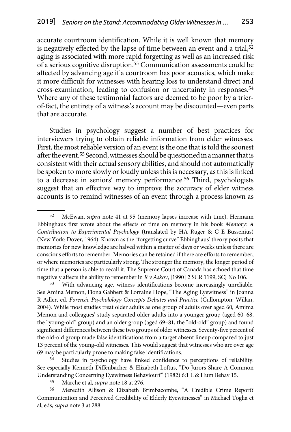accurate courtroom identification. While it is well known that memory is negatively effected by the lapse of time between an event and a trial,<sup>52</sup> aging is associated with more rapid forgetting as well as an increased risk of a serious cognitive disruption.53 Communication assessments could be affected by advancing age if a courtroom has poor acoustics, which make it more difficult for witnesses with hearing loss to understand direct and cross-examination, leading to confusion or uncertainty in responses.54 Where any of these testimonial factors are deemed to be poor by a trierof-fact, the entirety of a witness's account may be discounted—even parts that are accurate.

Studies in psychology suggest a number of best practices for interviewers trying to obtain reliable information from elder witnesses. First, the most reliable version of an event is the one that is told the soonest after the event.55 Second, witnesses should be questioned in a manner that is consistent with their actual sensory abilities, and should not automatically be spoken to more slowly or loudly unless this is necessary, as this is linked to a decrease in seniors' memory performance.56 Third, psychologists suggest that an effective way to improve the accuracy of elder witness accounts is to remind witnesses of an event through a process known as

54 Studies in psychology have linked confidence to perceptions of reliability. See especially Kenneth Diffenbacher & Elizabeth Loftus, "Do Jurors Share A Common Understanding Concerning Eyewitness Behaviour?" (1982) 6:1 L & Hum Behav 15.

55 Marche et al, *supra* note 18 at 276.

56 Meredith Allison & Elizabeth Brimbacombe, "A Credible Crime Report? Communication and Perceived Credibility of Elderly Eyewitnesses" in Michael Toglia et al, eds, *supra* note 3 at 288.

<sup>52</sup> McEwan, *supra* note 41 at 95 (memory lapses increase with time). Hermann Ebbinghaus first wrote about the effects of time on memory in his book *Memory: A Contribution to Experimental Psychology* (translated by HA Ruger & C E Bussenius) (New York: Dover, 1964). Known as the "forgetting curve" Ebbinghaus' theory posits that memories for new knowledge are halved within a matter of days or weeks unless there are conscious efforts to remember. Memories can be retained if there are efforts to remember, or where memories are particularly strong. The stronger the memory, the longer period of time that a person is able to recall it. The Supreme Court of Canada has echoed that time negatively affects the ability to remember in *R v Askov*, [1990] 2 SCR 1199, SCJ No 106.

<sup>53</sup> With advancing age, witness identifications become increasingly unreliable. See Amina Memon, Fiona Gabbert & Lorraine Hope, "The Aging Eyewitness" in Joanna R Adler, ed, *Forensic Psycholology Concepts Debates and Practice* (Cullompton: Willan, 2004). While most studies treat older adults as one group of adults over aged 60, Amima Memon and colleagues' study separated older adults into a younger group (aged 60–68, the "young-old" group) and an older group (aged 69–81, the "old-old" group) and found significant differences between these two groups of older witnesses. Seventy-five percent of the old-old group made false identifications from a target absent lineup compared to just 13 percent of the young-old witnesses. This would suggest that witnesses who are over age 69 may be particularly prone to making false identifications.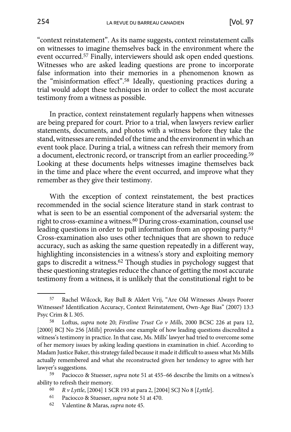"context reinstatement". As its name suggests, context reinstatement calls on witnesses to imagine themselves back in the environment where the event occurred.57 Finally, interviewers should ask open ended questions. Witnesses who are asked leading questions are prone to incorporate false information into their memories in a phenomenon known as the "misinformation effect".58 Ideally, questioning practices during a trial would adopt these techniques in order to collect the most accurate testimony from a witness as possible.

In practice, context reinstatement regularly happens when witnesses are being prepared for court. Prior to a trial, when lawyers review earlier statements, documents, and photos with a witness before they take the stand, witnesses are reminded of the time and the environment in which an event took place. During a trial, a witness can refresh their memory from a document, electronic record, or transcript from an earlier proceeding.59 Looking at these documents helps witnesses imagine themselves back in the time and place where the event occurred, and improve what they remember as they give their testimony.

With the exception of context reinstatement, the best practices recommended in the social science literature stand in stark contrast to what is seen to be an essential component of the adversarial system: the right to cross-examine a witness.60 During cross-examination, counsel use leading questions in order to pull information from an opposing party.<sup>61</sup> Cross-examination also uses other techniques that are shown to reduce accuracy, such as asking the same question repeatedly in a different way, highlighting inconsistencies in a witness's story and exploiting memory gaps to discredit a witness.62 Though studies in psychology suggest that these questioning strategies reduce the chance of getting the most accurate testimony from a witness, it is unlikely that the constitutional right to be

<sup>57</sup> Rachel Wilcock, Ray Bull & Aldert Vrij, "Are Old Witnesses Always Poorer Witnesses? Identification Accuracy, Context Reinstatement, Own-Age Bias" (2007) 13:3 Psyc Crim & L 305.

<sup>58</sup> Loftus, *supra* note 20; *Firstline Trust Co v Mills*, 2000 BCSC 226 at para 12, [2000] BCJ No 256 [*Mills*] provides one example of how leading questions discredited a witness's testimony in practice. In that case, Ms. Mills' lawyer had tried to overcome some of her memory issues by asking leading questions in examination in chief. According to Madam Justice Baker, this strategy failed because it made it difficult to assess what Ms Mills actually remembered and what she reconstructed given her tendency to agree with her lawyer's suggestions.

<sup>59</sup> Paciocco & Stuesser, *supra* note 51 at 455–66 describe the limits on a witness's ability to refresh their memory.

<sup>60</sup> *R v Lyttle*, [2004] 1 SCR 193 at para 2, [2004] SCJ No 8 [*Lyttle*].

<sup>61</sup> Paciocco & Stuesser, *supra* note 51 at 470.

<sup>62</sup> Valentine & Maras, *supra* note 45.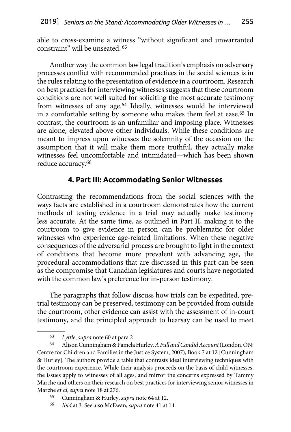<span id="page-15-0"></span>able to cross-examine a witness "without significant and unwarranted constraint" will be unseated. 63

Another way the common law legal tradition's emphasis on adversary processes conflict with recommended practices in the social sciences is in the rules relating to the presentation of evidence in a courtroom. Research on best practices for interviewing witnesses suggests that these courtroom conditions are not well suited for soliciting the most accurate testimony from witnesses of any age.64 Ideally, witnesses would be interviewed in a comfortable setting by someone who makes them feel at ease.65 In contrast, the courtroom is an unfamiliar and imposing place. Witnesses are alone, elevated above other individuals. While these conditions are meant to impress upon witnesses the solemnity of the occasion on the assumption that it will make them more truthful, they actually make witnesses feel uncomfortable and intimidated—which has been shown reduce accuracy.66

### **4. Part III: Accommodating Senior Witnesses**

Contrasting the recommendations from the social sciences with the ways facts are established in a courtroom demonstrates how the current methods of testing evidence in a trial may actually make testimony less accurate. At the same time, as outlined in Part II, making it to the courtroom to give evidence in person can be problematic for older witnesses who experience age-related limitations. When these negative consequences of the adversarial process are brought to light in the context of conditions that become more prevalent with advancing age, the procedural accommodations that are discussed in this part can be seen as the compromise that Canadian legislatures and courts have negotiated with the common law's preference for in-person testimony.

The paragraphs that follow discuss how trials can be expedited, pretrial testimony can be preserved, testimony can be provided from outside the courtroom, other evidence can assist with the assessment of in-court testimony, and the principled approach to hearsay can be used to meet

<sup>63</sup> *Lyttle*, *supra* note 60 at para 2*.*

<sup>64</sup> Alison Cunningham & Pamela Hurley, *A Full and Candid Account* (London, ON: Centre for Children and Families in the Justice System, 2007), Book 7 at 12 [Cunningham & Hurley]. The authors provide a table that contrasts ideal interviewing techniques with the courtroom experience. While their analysis proceeds on the basis of child witnesses, the issues apply to witnesses of all ages, and mirror the concerns expressed by Tammy Marche and others on their research on best practices for interviewing senior witnesses in Marche *et al*, *supra* note 18 at 276.

<sup>65</sup> Cunningham & Hurley, *supra* note 64 at 12.

<sup>66</sup> *Ibid* at 3. See also McEwan, *supra* note 41 at 14.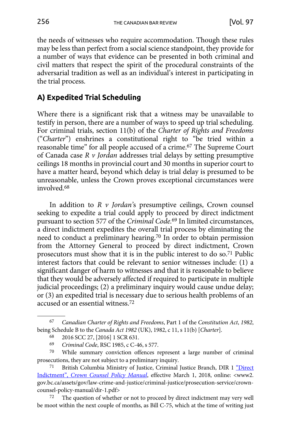<span id="page-16-0"></span>the needs of witnesses who require accommodation. Though these rules may be less than perfect from a social science standpoint, they provide for a number of ways that evidence can be presented in both criminal and civil matters that respect the spirit of the procedural constraints of the adversarial tradition as well as an individual's interest in participating in the trial process.

## **A) Expedited Trial Scheduling**

Where there is a significant risk that a witness may be unavailable to testify in person, there are a number of ways to speed up trial scheduling. For criminal trials, section 11(b) of the *Charter of Rights and Freedoms* ("*Charter*") enshrines a constitutional right to "be tried within a reasonable time" for all people accused of a crime.67 The Supreme Court of Canada case *R v Jordan* addresses trial delays by setting presumptive ceilings 18 months in provincial court and 30 months in superior court to have a matter heard, beyond which delay is trial delay is presumed to be unreasonable, unless the Crown proves exceptional circumstances were involved.68

In addition to *R v Jordan'*s presumptive ceilings, Crown counsel seeking to expedite a trial could apply to proceed by direct indictment pursuant to section 577 of the *Criminal Code.*69 In limited circumstances, a direct indictment expedites the overall trial process by eliminating the need to conduct a preliminary hearing.70 In order to obtain permission from the Attorney General to proceed by direct indictment, Crown prosecutors must show that it is in the public interest to do so.71 Public interest factors that could be relevant to senior witnesses include: (1) a significant danger of harm to witnesses and that it is reasonable to believe that they would be adversely affected if required to participate in multiple judicial proceedings; (2) a preliminary inquiry would cause undue delay; or (3) an expedited trial is necessary due to serious health problems of an accused or an essential witness.72

<sup>67</sup> *Canadian Charter of Rights and Freedoms*, Part 1 of the *Constitution Act*, *1982*, being Schedule B to the *Canada Act 1982* (UK), 1982, c 11, s 11(b) [*Charter*].

<sup>68</sup> 2016 SCC 27, [2016] 1 SCR 631.

<sup>69</sup> *Criminal Code*, RSC 1985, c C-46, s 577.

<sup>70</sup> While summary conviction offences represent a large number of criminal prosecutions, they are not subject to a preliminary inquiry.

<sup>71</sup> British Columbia Ministry of Justice, Criminal Justice Branch, DIR 1 ["Direct](http://www2.gov.bc.ca/assets/gov/law-crime-and-justice/criminal-justice/prosecution-service/crown-counsel-policy-manual/dir-1.pdf) Indictment", *[Crown Counsel Policy Manual](http://www2.gov.bc.ca/assets/gov/law-crime-and-justice/criminal-justice/prosecution-service/crown-counsel-policy-manual/dir-1.pdf)*, effective March 1, 2018, online: <www2. gov.bc.ca/assets/gov/law-crime-and-justice/criminal-justice/prosecution-service/crowncounsel-policy-manual/dir-1.pdf>

<sup>72</sup> The question of whether or not to proceed by direct indictment may very well be moot within the next couple of months, as Bill C-75, which at the time of writing just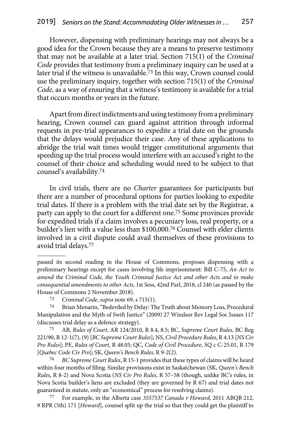However, dispensing with preliminary hearings may not always be a good idea for the Crown because they are a means to preserve testimony that may not be available at a later trial. Section 715(1) of the *Criminal Code* provides that testimony from a preliminary inquiry can be used at a later trial if the witness is unavailable.73 In this way, Crown counsel could use the preliminary inquiry, together with section 715(1) of the *Criminal Code,* as a way of ensuring that a witness's testimony is available for a trial that occurs months or years in the future.

Apart from direct indictments and using testimony from a preliminary hearing, Crown counsel can guard against attrition through informal requests in pre-trial appearances to expedite a trial date on the grounds that the delays would prejudice their case. Any of these applications to abridge the trial wait times would trigger constitutional arguments that speeding up the trial process would interfere with an accused's right to the counsel of their choice and scheduling would need to be subject to that counsel's availability.74

In civil trials, there are no *Charter* guarantees for participants but there are a number of procedural options for parties looking to expedite trial dates. If there is a problem with the trial date set by the Registrar, a party can apply to the court for a different one.75 Some provinces provide for expedited trials if a claim involves a pecuniary loss, real property, or a builder's lien with a value less than \$100,000.76 Counsel with elder clients involved in a civil dispute could avail themselves of these provisions to avoid trial delays.77

passed its second reading in the House of Commons, proposes dispensing with a preliminary hearings except for cases involving life imprisonment: Bill C-75, *An Act to amend the Criminal Code*, *the Youth Criminal Justice Act and other Acts and to make consequential amendments to other Acts*, 1st Sess, 42nd Parl, 2018, cl 240 (as passed by the House of Commons 2 November 2018).

<sup>73</sup> *Criminal Code*, *supra* note 69, s 715(1).

<sup>74</sup> Brian Menarin, "Bedeviled by Delay: The Truth about Memory Loss, Procedural Manipulation and the Myth of Swift Justice" (2009) 27 Windsor Rev Legal Soc Issues 117 (discusses trial delay as a defence strategy).

<sup>75</sup> AB, *Rules of Court*, AR 124/2010, R 8.4, 8.5; BC, *Supreme Court Rules*, BC Reg 221/90, R 12-1(7), (9) [*BC Supreme Court Rules*]; NS, *Civil Procedure Rules*, R 4.13 [*NS Civ Pro Rules*]; PE, *Rules of Court*, R 48.05; QC, *Code of Civil Procedure*, SQ c C-25.01, R 179 [*Quebec Code Civ Pro*]; SK, *Queen's Bench Rules*, R 9-2(2).

<sup>76</sup> *BC Supreme Court Rules*, R 15-1 provides that these types of claims will be heard within four months of filing. Similar provisions exist in Saskatchewan (SK, *Queen's Bench Rules*, R 8-2) and Nova Scotia (*NS Civ Pro Rules*, R 57–58 (though, unlike BC's rules, in Nova Scotia builder's liens are excluded (they are governed by R 67) and trial dates not guaranteed in statute, only an "economical" process for resolving claims).

<sup>77</sup> For example, in the Alberta case *3557537 Canada v Howard*, 2011 ABQB 212, 9 RPR (5th) 171 [*Howard*], counsel split up the trial so that they could get the plaintiff to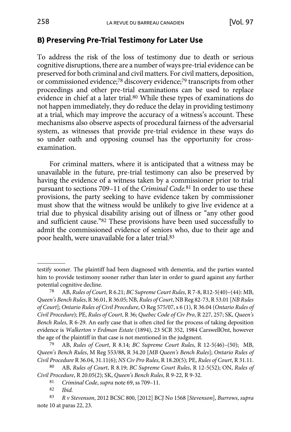### <span id="page-18-0"></span>**B) Preserving Pre-Trial Testimony for Later Use**

To address the risk of the loss of testimony due to death or serious cognitive disruptions, there are a number of ways pre-trial evidence can be preserved for both criminal and civil matters. For civil matters, deposition, or commissioned evidence;<sup>78</sup> discovery evidence;<sup>79</sup> transcripts from other proceedings and other pre-trial examinations can be used to replace evidence in chief at a later trial.80 While these types of examinations do not happen immediately, they do reduce the delay in providing testimony at a trial, which may improve the accuracy of a witness's account. These mechanisms also observe aspects of procedural fairness of the adversarial system, as witnesses that provide pre-trial evidence in these ways do so under oath and opposing counsel has the opportunity for crossexamination.

For criminal matters, where it is anticipated that a witness may be unavailable in the future, pre-trial testimony can also be preserved by having the evidence of a witness taken by a commissioner prior to trial pursuant to sections 709–11 of the *Criminal Code.*<sup>81</sup> In order to use these provisions, the party seeking to have evidence taken by commissioner must show that the witness would be unlikely to give live evidence at a trial due to physical disability arising out of illness or "any other good and sufficient cause."82 These provisions have been used successfully to admit the commissioned evidence of seniors who, due to their age and poor health, were unavailable for a later trial.83

79 AB, *Rules of Court*, R 8.14; *BC Supreme Court Rules*, R 12-5(46)–(50); MB, *Queen's Bench Rules*, M Reg 553/88, R 34.20 [*MB Queen's Bench Rules*]; *Ontario Rules of Civil Procedure* R 36.04, 31.11(6); *NS Civ Pro Rules*, R 18.20(5); PE, *Rules of Court*, R 31.11.

80 AB, *Rules of Court*, R 8.19; *BC Supreme Court Rules*, R 12-5(52); ON, *Rules of Civil Procedure*, R 20.05(2); SK, *Queen's Bench Rules*, R 9-22, R 9-32.

testify sooner. The plaintiff had been diagnosed with dementia, and the parties wanted him to provide testimony sooner rather than later in order to guard against any further potential cognitive decline.

<sup>78</sup> AB, *Rules of Court*, R 6.21; *BC Supreme Court Rules*, R 7-8, R12-5(40)–(44): MB, *Queen's Bench Rules*, R 36.01, R 36.05; NB, *Rules of Court*, NB Reg 82-73, R 53.01 [*NB Rules of Court*]; *Ontario Rules of Civil Procedure*, O Reg 575/07, s 6 (1), R 36.04 (*Ontario Rules of Civil Procedure*); PE, *Rules of Court*, R 36; *Quebec Code of Civ Pro*, R 227, 257; SK, *Queen's Bench Rules*, R 6-29. An early case that is often cited for the process of taking deposition evidence is *Walkerton v Erdman Estate* (1894), 23 SCR 352, 1984 CarswellOnt, however the age of the plaintiff in that case is not mentioned in the judgment.

<sup>81</sup> *Criminal Code*, *supra* note 69, ss 709–11.

Ibid.

<sup>83</sup> *R v Stevenson*, 2012 BCSC 800, [2012] BCJ No 1568 [*Stevenson*], *Burrows*, *supra*  note 10 at paras 22, 23.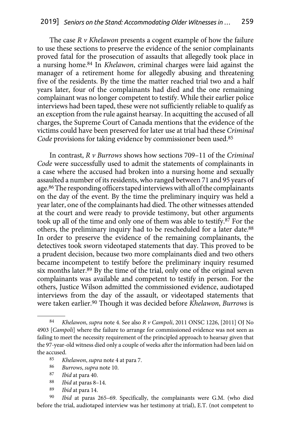The case *R v Khelawon* presents a cogent example of how the failure to use these sections to preserve the evidence of the senior complainants proved fatal for the prosecution of assaults that allegedly took place in a nursing home.84 In *Khelawon*, criminal charges were laid against the manager of a retirement home for allegedly abusing and threatening five of the residents. By the time the matter reached trial two and a half years later, four of the complainants had died and the one remaining complainant was no longer competent to testify. While their earlier police interviews had been taped, these were not sufficiently reliable to qualify as an exception from the rule against hearsay. In acquitting the accused of all charges, the Supreme Court of Canada mentions that the evidence of the victims could have been preserved for later use at trial had these *Criminal Code* provisions for taking evidence by commissioner been used.85

In contrast, *R v Burrows* shows how sections 709–11 of the *Criminal Code* were successfully used to admit the statements of complainants in a case where the accused had broken into a nursing home and sexually assaulted a number of its residents, who ranged between 71 and 95 years of age.86 The responding officers taped interviews with all of the complainants on the day of the event. By the time the preliminary inquiry was held a year later, one of the complainants had died. The other witnesses attended at the court and were ready to provide testimony, but other arguments took up all of the time and only one of them was able to testify.87 For the others, the preliminary inquiry had to be rescheduled for a later date.88 In order to preserve the evidence of the remaining complainants, the detectives took sworn videotaped statements that day. This proved to be a prudent decision, because two more complainants died and two others became incompetent to testify before the preliminary inquiry resumed six months later.89 By the time of the trial, only one of the original seven complainants was available and competent to testify in person. For the others, Justice Wilson admitted the commissioned evidence, audiotaped interviews from the day of the assault, or videotaped statements that were taken earlier.90 Though it was decided before *Khelawon*, *Burrows* is

- 87 *Ibid* at para 40.
- 88 *Ibid* at paras 8–14.
- 89 *Ibid* at para 14.

Ibid at paras 265-69. Specifically, the complainants were G.M. (who died before the trial, audiotaped interview was her testimony at trial), E.T. (not competent to

<sup>84</sup> *Khelawon*, *supra* note 4. See also *R v Campoli*, 2011 ONSC 1226, [2011] OJ No 4903 [*Campoli*] where the failure to arrange for commissioned evidence was not seen as failing to meet the necessity requirement of the principled approach to hearsay given that the 97-year-old witness died only a couple of weeks after the information had been laid on the accused.<br> $rac{85}{k}$ 

<sup>85</sup> *Khelawon*, *supra* note 4 at para 7.

<sup>86</sup> *Burrows*, *supra* note 10.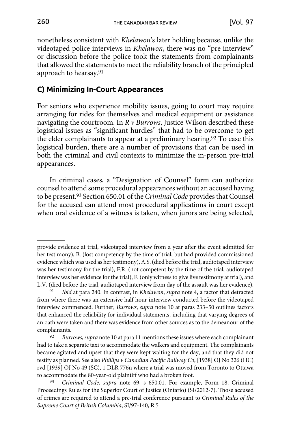<span id="page-20-0"></span>nonetheless consistent with *Khelawon*'s later holding because, unlike the videotaped police interviews in *Khelawon*, there was no "pre interview" or discussion before the police took the statements from complainants that allowed the statements to meet the reliability branch of the principled approach to hearsay.91

# **C) Minimizing In-Court Appearances**

For seniors who experience mobility issues, going to court may require arranging for rides for themselves and medical equipment or assistance navigating the courtroom. In *R v Burrows*, Justice Wilson described these logistical issues as "significant hurdles" that had to be overcome to get the elder complainants to appear at a preliminary hearing.92 To ease this logistical burden, there are a number of provisions that can be used in both the criminal and civil contexts to minimize the in-person pre-trial appearances.

In criminal cases, a "Designation of Counsel" form can authorize counsel to attend some procedural appearances without an accused having to be present.93 Section 650.01 of the *Criminal Code* provides that Counsel for the accused can attend most procedural applications in court except when oral evidence of a witness is taken, when jurors are being selected,

provide evidence at trial, videotaped interview from a year after the event admitted for her testimony), B. (lost competency by the time of trial, but had provided commissioned evidence which was used as her testimony), A.S. (died before the trial, audiotaped interview was her testimony for the trial), F.R. (not competent by the time of the trial, audiotaped interview was her evidence for the trial), F. (only witness to give live testimony at trial), and L.V. (died before the trial, audiotaped interview from day of the assault was her evidence).

<sup>91</sup> *Ibid* at para 240. In contrast, in *Khelawon*, *supra* note 4, a factor that detracted from where there was an extensive half hour interview conducted before the videotaped interview commenced. Further, *Burrows*, *supra* note 10 at paras 233–50 outlines factors that enhanced the reliability for individual statements, including that varying degrees of an oath were taken and there was evidence from other sources as to the demeanour of the complainants.

<sup>92</sup> *Burrows*, *supra* note 10 at para 11 mentions these issues where each complainant had to take a separate taxi to accommodate the walkers and equipment. The complainants became agitated and upset that they were kept waiting for the day, and that they did not testify as planned. See also *Phillips v Canadian Pacific Railway Co*, [1938] OJ No 326 (HC) rvd [1939] OJ No 49 (SC), 1 DLR 776n where a trial was moved from Toronto to Ottawa to accommodate the 80-year-old plaintiff who had a broken foot.

<sup>93</sup> *Criminal Code*, *supra* note 69, s 650.01. For example, Form 18, Criminal Proceedings Rules for the Superior Court of Justice (Ontario) (SI/2012-7). Those accused of crimes are required to attend a pre-trial conference pursuant to *Criminal Rules of the Supreme Court of British Columbia*, SI/97-140, R 5.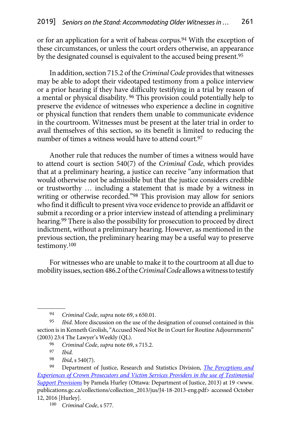or for an application for a writ of habeas corpus.<sup>94</sup> With the exception of these circumstances, or unless the court orders otherwise, an appearance by the designated counsel is equivalent to the accused being present.95

In addition, section 715.2 of the *Criminal Code* provides that witnesses may be able to adopt their videotaped testimony from a police interview or a prior hearing if they have difficulty testifying in a trial by reason of a mental or physical disability. 96 This provision could potentially help to preserve the evidence of witnesses who experience a decline in cognitive or physical function that renders them unable to communicate evidence in the courtroom. Witnesses must be present at the later trial in order to avail themselves of this section, so its benefit is limited to reducing the number of times a witness would have to attend court.<sup>97</sup>

Another rule that reduces the number of times a witness would have to attend court is section 540(7) of the *Criminal Code*, which provides that at a preliminary hearing, a justice can receive "any information that would otherwise not be admissible but that the justice considers credible or trustworthy … including a statement that is made by a witness in writing or otherwise recorded."98 This provision may allow for seniors who find it difficult to present viva voce evidence to provide an affidavit or submit a recording or a prior interview instead of attending a preliminary hearing.99 There is also the possibility for prosecution to proceed by direct indictment, without a preliminary hearing. However, as mentioned in the previous section, the preliminary hearing may be a useful way to preserve testimony.100

For witnesses who are unable to make it to the courtroom at all due to mobility issues, section 486.2 of the *Criminal Code* allows a witness to testify

<sup>94</sup> *Criminal Code*, *supra* note 69, s 650.01.

<sup>95</sup> *Ibid*. More discussion on the use of the designation of counsel contained in this section is in Kenneth Grolish, "Accused Need Not Be in Court for Routine Adjournments" (2003) 23:4 The Lawyer's Weekly (QL).

<sup>96</sup> *Criminal Code*, *supra* note 69, s 715.2.

<sup>97</sup> *Ibid.*

<sup>98</sup> *Ibid*, s 540(7).

<sup>99</sup> Department of Justice, Research and Statistics Division, *[The Perceptions and](http://www.publications.gc.ca/collections/collection_2013/jus/J4-18-2013-eng.pdf)  [Experiences of Crown Prosecutors and Victim Services Providers in the use of Testimonial](http://www.publications.gc.ca/collections/collection_2013/jus/J4-18-2013-eng.pdf) [Support Provisions](http://www.publications.gc.ca/collections/collection_2013/jus/J4-18-2013-eng.pdf)* by Pamela Hurley (Ottawa: Department of Justice, 2013) at 19 <www. publications.gc.ca/collections/collection\_2013/jus/J4-18-2013-eng.pdf> accessed October 12, 2016 [Hurley].

<sup>100</sup> *Criminal Code*, s 577.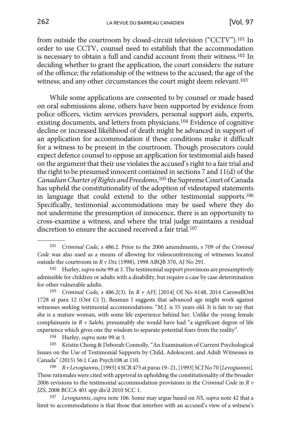from outside the courtroom by closed-circuit television ("CCTV").101 In order to use CCTV, counsel need to establish that the accommodation is necessary to obtain a full and candid account from their witness.102 In deciding whether to grant the application, the court considers: the nature of the offence; the relationship of the witness to the accused; the age of the witness; and any other circumstances the court might deem relevant.<sup>103</sup>

While some applications are consented to by counsel or made based on oral submissions alone, others have been supported by evidence from police officers, victim services providers, personal support aids, experts, existing documents, and letters from physicians.104 Evidence of cognitive decline or increased likelihood of death might be advanced in support of an application for accommodation if these conditions make it difficult for a witness to be present in the courtroom. Though prosecutors could expect defence counsel to oppose an application for testimonial aids based on the argument that their use violates the accused's right to a fair trial and the right to be presumed innocent contained in sections 7 and 11(d) of the *Canadian Charter of Rights and Freedoms*, <sup>105</sup> the Supreme Court of Canada has upheld the constitutionality of the adoption of videotaped statements in language that could extend to the other testimonial supports.106 Specifically, testimonial accommodations may be used where they do not undermine the presumption of innocence, there is an opportunity to cross-examine a witness, and where the trial judge maintains a residual discretion to ensure the accused received a fair trial.107

103 *Criminal Code*, s 486.2(3). In *R v AFJ*, [2014] OJ No 6148, 2014 CarswellOnt 1728 at para 12 (Ont Ct J), Beaman J suggests that advanced age might work against witnesses seeking testimonial accommodations: "M.J. is 55 years old. It is fair to say that she is a mature woman, with some life experience behind her. Unlike the young female complainants in *R v Salehi*, presumably she would have had "a significant degree of life experience which gives one the wisdom to separate potential fears from the reality".

104 Hurley, *supra* note 99 at 3.

105 Kristin Chong & Deborah Connolly, "An Examination of Current Psychological Issues on the Use of Testimonial Supports by Child, Adolescent, and Adult Witnesses in Canada" (2015) 56:1 Can Psych108 at 110.

106 *R v Levogiannis*, [1993] 4 SCR 475 at paras 19–21, [1993] SCJ No 70 [*Levogiannis*]. These rationales were cited with approval in upholding the constitutionality of the broader 2006 revisions to the testimonial accommodation provisions in the *Criminal Code* in *R v JZS*, 2008 BCCA 401 app dis'd 2010 SCC 1.

107 *Levogiannis*, *supra* note 106. Some may argue based on *NS*, *supra* note 42 that a limit to accommodations is that those that interfere with an accused's view of a witness's

<sup>101</sup> *Criminal Code*, s 486.2. Prior to the 2006 amendments, s 709 of the *Criminal Code* was also used as a means of allowing for videoconferencing of witnesses located outside the courtroom in *R v Dix* (1998), 1998 ABQB 370, AJ No 291.

<sup>102</sup> Hurley, *supra* note 99 at 3. The testimonial support provisions are presumptively admissible for children or adults with a disability, but require a case by case determination for other vulnerable adults.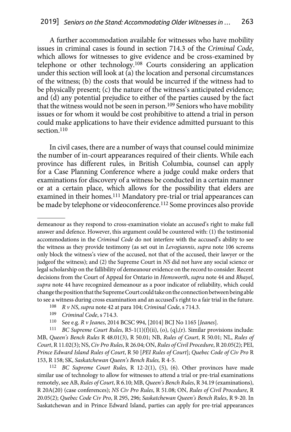A further accommodation available for witnesses who have mobility issues in criminal cases is found in section 714.3 of the *Criminal Code*, which allows for witnesses to give evidence and be cross-examined by telephone or other technology.108 Courts considering an application under this section will look at (a) the location and personal circumstances of the witness; (b) the costs that would be incurred if the witness had to be physically present; (c) the nature of the witness's anticipated evidence; and (d) any potential prejudice to either of the parties caused by the fact that the witness would not be seen in person.<sup>109</sup> Seniors who have mobility issues or for whom it would be cost prohibitive to attend a trial in person could make applications to have their evidence admitted pursuant to this section.<sup>110</sup>

In civil cases, there are a number of ways that counsel could minimize the number of in-court appearances required of their clients. While each province has different rules, in British Columbia, counsel can apply for a Case Planning Conference where a judge could make orders that examinations for discovery of a witness be conducted in a certain manner or at a certain place, which allows for the possibility that elders are examined in their homes.111 Mandatory pre-trial or trial appearances can be made by telephone or videoconference.<sup>112</sup> Some provinces also provide

111 *BC Supreme Court Rules*, R5-1(1)(f)(ii), (o), (q),(r). Similar provisions include: MB, *Queen's Bench Rules* R 48.01(3), R 50.01; NB, *Rules of Court*, R 50.01; NL, *Rules of Court*, R 11.02(3); NS, *Civ Pro Rules*, R 26.04; ON, *Rules of Civil Procedure*, R 20.05(2); PEI, *Prince Edward Island Rules of Court*, R 50 [*PEI Rules of Court*]; *Quebec Code of Civ Pro* R 153, R 158; SK, *Saskatchewan Queen's Bench Rules,* R 4-5. 112 *BC Supreme Court Rules*, R 12-2(1), (5), (6). Other provinces have made

similar use of technology to allow for witnesses to attend a trial or pre-trial examinations remotely, see AB, *Rules of Court*, R 6.10; MB, *Queen's Bench Rules*, R 34.19 (examinations), R 20A(20) (case conferences); *NS Civ Pro Rules*, R 51.08; ON, *Rules of Civil Procedure*, R 20.05(2); *Quebec Code Civ Pro*, R 295, 296; *Saskatchewan Queen's Bench Rules*, R 9-20. In Saskatchewan and in Prince Edward Island, parties can apply for pre-trial appearances

demeanour as they respond to cross-examination violate an accused's right to make full answer and defence. However, this argument could be countered with: (1) the testimonial accommodations in the *Criminal Code* do not interfere with the accused's ability to see the witness as they provide testimony (as set out in *Levogiannis*, *supra* note 106 screens only block the witness's view of the accused, not that of the accused, their lawyer or the judgeof the witness); and (2) the Supreme Court in *NS* did not have any social science or legal scholarship on the fallibility of demeanour evidence on the record to consider. Recent decisions from the Court of Appeal for Ontario in *Hemsworth*, *supra* note 44 and *Rhayel*, *supra* note 44 have recognized demeanour as a poor indicator of reliability, which could change the position that the Supreme Court could take on the connection between being able to see a witness during cross examination and an accused's right to a fair trial in the future.

<sup>108</sup> *R v NS*, *supra* note 42 at para 104; *Criminal Code*, s 714.3.

<sup>109</sup> *Criminal Code*, s 714.3.

<sup>110</sup> See e.g. *R v Jeanes*, 2014 BCSC 994, [2014] BCJ No 1165 [*Jeanes*].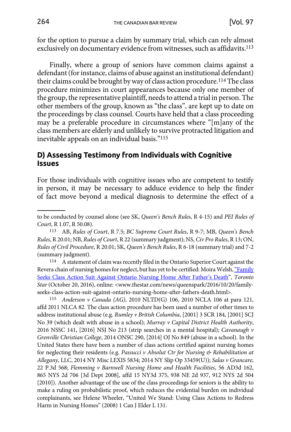<span id="page-24-0"></span>for the option to pursue a claim by summary trial, which can rely almost exclusively on documentary evidence from witnesses, such as affidavits.113

Finally, where a group of seniors have common claims against a defendant (for instance, claims of abuse against an institutional defendant) their claims could be brought by way of class action procedure.114 The class procedure minimizes in court appearances because only one member of the group, the representative plaintiff, needs to attend a trial in person. The other members of the group, known as "the class", are kept up to date on the proceedings by class counsel. Courts have held that a class proceeding may be a preferable procedure in circumstances where "[m]any of the class members are elderly and unlikely to survive protracted litigation and inevitable appeals on an individual basis."115

#### **D) Assessing Testimony from Individuals with Cognitive Issues**

For those individuals with cognitive issues who are competent to testify in person, it may be necessary to adduce evidence to help the finder of fact move beyond a medical diagnosis to determine the effect of a

to be conducted by counsel alone (see SK, *Queen's Bench Rules*, R 4-15) and *PEI Rules of Court*, R 1.07, R 50.08).

<sup>113</sup> AB, *Rules of Court*, R 7.5; *BC Supreme Court Rules*, R 9-7; MB, *Queen's Bench Rules*, R 20.01; NB, *Rules of Court*, R 22 (summary judgment); NS, *Civ Pro Rules*, R 13; ON, *Rules of Civil Procedure*, R 20.01; SK, *Queen's Bench Rules*, R 6-18 (summary trial) and 7-2

<sup>(</sup>summary judgment).<br> $114$  A statement of claim was recently filed in the Ontario Superior Court against the Revera chain of nursing homes for neglect, but has yet to be certified: Moira Welsh, "[Family](http://www.thestar.com/news/queenspark/2016/10/20/family-seeks-class-action-suit-against-ontario-nursing-home-after-fathers-death.html) [Seeks Class Action Suit Against Ontario Nursing Home After Father's Death](http://www.thestar.com/news/queenspark/2016/10/20/family-seeks-class-action-suit-against-ontario-nursing-home-after-fathers-death.html)", *Toronto Star* (October 20, 2016), online: <www.thestar.com/news/queenspark/2016/10/20/familyseeks-class-action-suit-against-ontario-nursing-home-after-fathers-death.html>.

<sup>115</sup> *Anderson v Canada (AG)*, 2010 NLTD(G) 106, 2010 NCLA 106 at para 121, affd 2011 NLCA 82. The class action procedure has been used a number of other times to address institutional abuse (e.g. *Rumley v British Columbia*, [2001] 3 SCR 184, [2001] SCJ No 39 (which dealt with abuse in a school); *Murray v Capital District Health Authority*, 2016 NSSC 141, [2016] NSJ No 213 (strip searches in a mental hospital); *Cavanaugh v Grenville Christian College*, 2014 ONSC 290, [2014] OJ No 849 (abuse in a school). In the United States there have been a number of class actions certified against nursing homes for neglecting their residents (e.g. *Passucci v Absolut Ctr for Nursing & Rehabilitation at Allegany*, LLC, 2014 NY Misc LEXIS 5834; 2014 NY Slip Op 33459(U)); *Salas v Grancare*, 22 P.3d 568; *Flemming v Barnwell Nursing Home and Health Facilities*, 56 AD3d 162, 865 NYS 2d 706 [3d Dept 2008], affd 15 NY3d 375, 938 NE 2d 937, 912 NYS 2d 504 [2010]). Another advantage of the use of the class proceedings for seniors is the ability to make a ruling on probabilistic proof, which reduces the evidential burden on individual complainants, see Helene Wheeler, "United We Stand: Using Class Actions to Redress Harm in Nursing Homes" (2008) 1 Can J Elder L 131.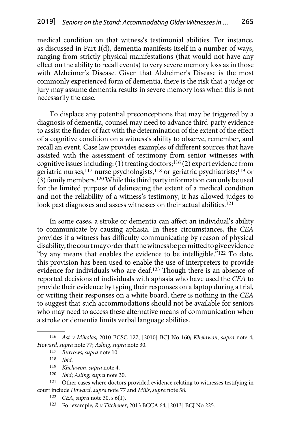medical condition on that witness's testimonial abilities. For instance, as discussed in Part I(d), dementia manifests itself in a number of ways, ranging from strictly physical manifestations (that would not have any effect on the ability to recall events) to very severe memory loss as in those with Alzheimer's Disease. Given that Alzheimer's Disease is the most commonly experienced form of dementia, there is the risk that a judge or jury may assume dementia results in severe memory loss when this is not necessarily the case.

To displace any potential preconceptions that may be triggered by a diagnosis of dementia, counsel may need to advance third-party evidence to assist the finder of fact with the determination of the extent of the effect of a cognitive condition on a witness's ability to observe, remember, and recall an event. Case law provides examples of different sources that have assisted with the assessment of testimony from senior witnesses with cognitive issues including: (1) treating doctors;116 (2) expert evidence from geriatric nurses,117 nurse psychologists,118 or geriatric psychiatrists;119 or (3) family members.120 While this third party information can only be used for the limited purpose of delineating the extent of a medical condition and not the reliability of a witness's testimony, it has allowed judges to look past diagnoses and assess witnesses on their actual abilities.<sup>121</sup>

In some cases, a stroke or dementia can affect an individual's ability to communicate by causing aphasia. In these circumstances, the *CEA*  provides if a witness has difficulty communicating by reason of physical disability, the court may order that the witness be permitted to give evidence "by any means that enables the evidence to be intelligible."<sup>122</sup> To date, this provision has been used to enable the use of interpreters to provide evidence for individuals who are deaf.123 Though there is an absence of reported decisions of individuals with aphasia who have used the *CEA* to provide their evidence by typing their responses on a laptop during a trial, or writing their responses on a white board, there is nothing in the *CEA*  to suggest that such accommodations should not be available for seniors who may need to access these alternative means of communication when a stroke or dementia limits verbal language abilities.

<sup>116</sup> *Ast v Mikolas*, 2010 BCSC 127, [2010] BCJ No 160; *Khelawon*, *supra* note 4; *Howard*, *supra* note 77; *Asling*, *supra* note 30.

<sup>117</sup> *Burrows*, *supra* note 10.

<sup>118</sup> *Ibid.*

<sup>119</sup> *Khelawon*, *supra* note 4.

<sup>120</sup> *Ibid*; *Asling*, *supra* note 30.

<sup>121</sup> Other cases where doctors provided evidence relating to witnesses testifying in court include *Howard*, *supra* note 77 and *Mills*, *supra* note 58. 122 *CEA*, *supra* note 30, s 6(1).

<sup>123</sup> For example, *R v Titchener*, 2013 BCCA 64, [2013] BCJ No 225.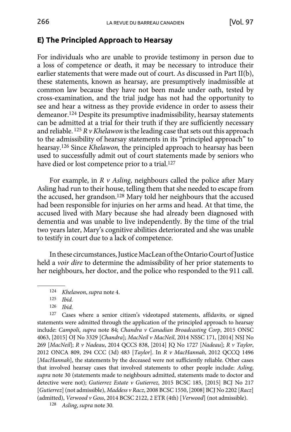# <span id="page-26-0"></span>**E) The Principled Approach to Hearsay**

For individuals who are unable to provide testimony in person due to a loss of competence or death, it may be necessary to introduce their earlier statements that were made out of court. As discussed in Part II(b), these statements, known as hearsay, are presumptively inadmissible at common law because they have not been made under oath, tested by cross-examination, and the trial judge has not had the opportunity to see and hear a witness as they provide evidence in order to assess their demeanor.124 Despite its presumptive inadmissibility, hearsay statements can be admitted at a trial for their truth if they are sufficiently necessary and reliable.  $125 R v$  *Khelawon* is the leading case that sets out this approach to the admissibility of hearsay statements in its "principled approach" to hearsay.126 Since *Khelawon,* the principled approach to hearsay has been used to successfully admit out of court statements made by seniors who have died or lost competence prior to a trial.127

For example, in *R v Asling*, neighbours called the police after Mary Asling had run to their house, telling them that she needed to escape from the accused, her grandson.128 Mary told her neighbours that the accused had been responsible for injuries on her arms and head. At that time, the accused lived with Mary because she had already been diagnosed with dementia and was unable to live independently. By the time of the trial two years later, Mary's cognitive abilities deteriorated and she was unable to testify in court due to a lack of competence.

In these circumstances, Justice MacLean of the Ontario Court of Justice held a *voir dire* to determine the admissibility of her prior statements to her neighbours, her doctor, and the police who responded to the 911 call.

127 Cases where a senior citizen's videotaped statements, affidavits, or signed statements were admitted through the application of the principled approach to hearsay include: *Campoli*, *supra* note 84; *Chandra v Canadian Broadcasting Corp*, 2015 ONSC 4063, [2015] OJ No 3329 [*Chandra*]; *MacNeil v MacNeil*, 2014 NSSC 171, [2014] NSJ No 269 [*MacNeil*]; *R v Nadeau*, 2014 QCCS 838, [2014] JQ No 1727 [*Nadeau*]; *R v Taylor*, 2012 ONCA 809, 294 CCC (3d) 483 [*Taylor*]. In *R v MacHannah*, 2012 QCCQ 1496 [*MacHannah*], the statements by the deceased were not sufficiently reliable. Other cases that involved hearsay cases that involved statements to other people include: *Asling*, *supra* note 30 (statements made to neighbours admitted, statements made to doctor and detective were not); *Gutierrez Estate v Gutierrez*, 2015 BCSC 185, [2015] BCJ No 217 [*Gutierrez*](not admissible), *Maddess v Racz*, 2008 BCSC 1550, [2008] BCJ No 2202 [*Racz*] (admitted), *Verwood v Goss*, 2014 BCSC 2122, 2 ETR (4th) [*Verwood*] (not admissible).

128 *Asling*, *supra* note 30.

<sup>124</sup> *Khelawon*, *supra* note 4.

<sup>125</sup> *Ibid.*

<sup>126</sup> *Ibid.*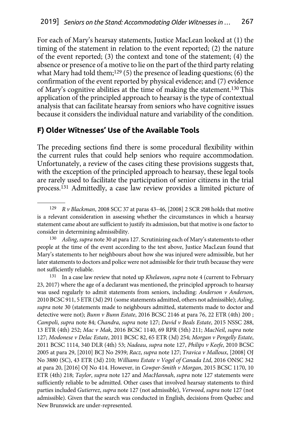<span id="page-27-0"></span>For each of Mary's hearsay statements, Justice MacLean looked at (1) the timing of the statement in relation to the event reported; (2) the nature of the event reported; (3) the context and tone of the statement; (4) the absence or presence of a motive to lie on the part of the third party relating what Mary had told them;<sup>129</sup> (5) the presence of leading questions; (6) the confirmation of the event reported by physical evidence; and (7) evidence of Mary's cognitive abilities at the time of making the statement.130 This application of the principled approach to hearsay is the type of contextual analysis that can facilitate hearsay from seniors who have cognitive issues because it considers the individual nature and variability of the condition.

### **F) Older Witnesses' Use of the Available Tools**

The preceding sections find there is some procedural flexibility within the current rules that could help seniors who require accommodation. Unfortunately, a review of the cases citing these provisions suggests that, with the exception of the principled approach to hearsay, these legal tools are rarely used to facilitate the participation of senior citizens in the trial process.131 Admittedly, a case law review provides a limited picture of

<sup>129</sup> *R v Blackman*, 2008 SCC 37 at paras 43–46, [2008] 2 SCR 298 holds that motive is a relevant consideration in assessing whether the circumstances in which a hearsay statement came about are sufficient to justify its admission, but that motive is one factor to consider in determining admissibility.

<sup>130</sup> *Asling*, *supra* note 30 at para 127. Scrutinizing each of Mary's statements to other people at the time of the event according to the test above, Justice MacLean found that Mary's statements to her neighbours about how she was injured were admissible, but her later statements to doctors and police were not admissible for their truth because they were not sufficiently reliable.

<sup>131</sup> In a case law review that noted up *Khelawon*, *supra* note 4 (current to February 23, 2017) where the age of a declarant was mentioned, the principled approach to hearsay was used regularly to admit statements from seniors, including: *Anderson v Anderson*, 2010 BCSC 911, 5 ETR (3d) 291 (some statements admitted, others not admissible); *Asling*, *supra* note 30 (statements made to neighbours admitted, statements made to doctor and detective were not); *Bunn v Bunn Estate*, 2016 BCSC 2146 at para 76, 22 ETR (4th) 200 ; *Campoli*, *supra* note 84; *Chandra*, *supra* note 127; *David v Beals Estate*, 2015 NSSC 288, 13 ETR (4th) 252; *Mac v Mak*, 2016 BCSC 1140, 69 RPR (5th) 211; *MacNeil*, *supra* note 127; *Modonese v Delac Estate*, 2011 BCSC 82, 65 ETR (3d) 254; *Morgan v Pengelly Estate*, 2011 BCSC 1114, 340 DLR (4th) 53; *Nadeau*, *supra* note 127, *Philips v Keefe*, 2010 BCSC 2005 at para 29, [2010] BCJ No 2939; *Racz*, *supra* note 127; *Travica v Malloux*, [2008] OJ No 3880 (SC), 43 ETR (3d) 210; *Williams Estate v Vogel of Canada Ltd*, 2016 ONSC 342 at para 20, [2016] OJ No 414. However, in *Cowper-Smith v Morgan*, 2015 BCSC 1170, 10 ETR (4th) 218; *Taylor*, *supra* note 127 and *MacHannah*, *supra* note 127 statements were sufficiently reliable to be admitted. Other cases that involved hearsay statements to third parties included *Gutierrez*, *supra* note 127 (not admissible), *Verwood*, *supra* note 127 (not admissible). Given that the search was conducted in English, decisions from Quebec and New Brunswick are under-represented.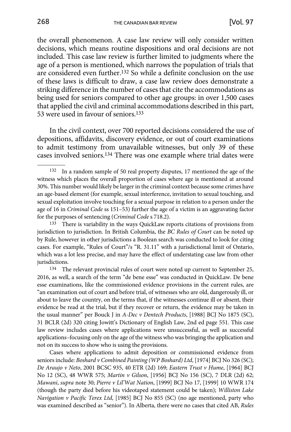the overall phenomenon. A case law review will only consider written decisions, which means routine dispositions and oral decisions are not included. This case law review is further limited to judgments where the age of a person is mentioned, which narrows the population of trials that are considered even further.132 So while a definite conclusion on the use of these laws is difficult to draw, a case law review does demonstrate a striking difference in the number of cases that cite the accommodations as being used for seniors compared to other age groups: in over 1,500 cases that applied the civil and criminal accommodations described in this part, 53 were used in favour of seniors.133

In the civil context, over 700 reported decisions considered the use of depositions, affidavits, discovery evidence, or out of court examinations to admit testimony from unavailable witnesses, but only 39 of these cases involved seniors.134 There was one example where trial dates were

133 There is variability in the ways QuickLaw reports citations of provisions from jurisdiction to jurisdiction. In British Columbia, the *BC Rules of Court* can be noted up by Rule, however in other jurisdictions a Boolean search was conducted to look for citing cases. For example, "Rules of Court"/s "R. 31.11" with a jurisdictional limit of Ontario, which was a lot less precise, and may have the effect of understating case law from other jurisdictions.

134 The relevant provincial rules of court were noted up current to September 25, 2016, as well, a search of the term "de bene esse" was conducted in QuickLaw. De bene esse examinations, like the commissioned evidence provisions in the current rules, are "an examination out of court and before trial, of witnesses who are old, dangerously ill, or about to leave the country, on the terms that, if the witnesses continue ill or absent, their evidence be read at the trial, but if they recover or return, the evidence may be taken in the usual manner" per Bouck J in *A-Dec v Dentech Products*, [1988] BCJ No 1875 (SC), 31 BCLR (2d) 320 citing Jowitt's Dictionary of English Law, 2nd ed page 551. This case law review includes cases where applications were unsuccessful, as well as successful applications–focusing only on the age of the witness who was bringing the application and not on its success to show who is using the provisions.

Cases where applications to admit deposition or commissioned evidence from seniors include: *Boshard v Combined Painting (WP Boshard) Ltd*, [1974] BCJ No 326 (SC); *De Araujo v Neto*, 2001 BCSC 935, 40 ETR (2d) 169; *Eastern Trust v Hume*, [1964] BCJ No 12 (SC), 48 WWR 575; *Martin v Gilson*, [1956] BCJ No 156 (SC), 7 DLR (2d) 62; *Mawani*, *supra* note 30; *Pierre v Lil'Wat Nation*, [1999] BCJ No 17, [1999] 10 WWR 174 (though the party died before his videotaped statement could be taken); *Williston Lake Navigation v Pacific Terex Ltd*, [1985] BCJ No 855 (SC) (no age mentioned, party who was examined described as "senior"). In Alberta, there were no cases that cited AB, *Rules* 

<sup>132</sup> In a random sample of 50 real property disputes, 17 mentioned the age of the witness which places the overall proportion of cases where age is mentioned at around 30%. This number would likely be larger in the criminal context because some crimes have an age-based element (for example, sexual interference, invitation to sexual touching, and sexual exploitation involve touching for a sexual purpose in relation to a person under the age of 16 in *Criminal Code* ss 151–53) further the age of a victim is an aggravating factor for the purposes of sentencing (*Criminal Code* s 718.2).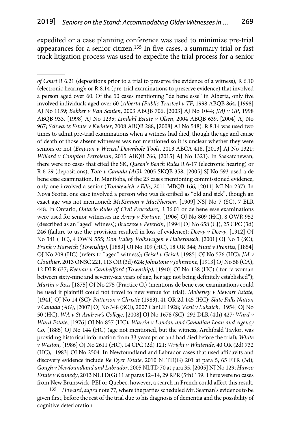expedited or a case planning conference was used to minimize pre-trial appearances for a senior citizen.135 In five cases, a summary trial or fast track litigation process was used to expedite the trial process for a senior

135 *Howard*, *supra* note 77, where the parties scheduled Mr. Seaman's evidence to be given first, before the rest of the trial due to his diagnosis of dementia and the possibility of cognitive deterioration.

*of Court* R 6.21 (depositions prior to a trial to preserve the evidence of a witness), R 6.10 (electronic hearing); or R 8.14 (pre-trial examinations to preserve evidence) that involved a person aged over 60. Of the 50 cases mentioning "de bene esse" in Alberta, only five involved individuals aged over 60 (*Alberta (Public Trustee) v TF*, 1998 ABQB 864, [1998] AJ No 1159; *Bakker v Van Santen*, 2003 ABQB 706, [2003] AJ No 1044; *JMJ v GP*, 1998 ABQB 933, [1998] AJ No 1235; *Lindahl Estate v Olsen*, 2004 ABQB 639, [2004] AJ No 967; *Schwartz Estate v Kwinter*, 2008 ABQB 288, [2008] AJ No 548). R 8.14 was used two times to admit pre-trial examinations when a witness had died, though the age and cause of death of those absent witnesses was not mentioned so it is unclear whether they were seniors or not (*Empson v Wenzel Downhole Tools*, 2013 ABCA 418, [2013] AJ No 1321; *Willard v Compton Petroleum*, 2015 ABQB 766, [2015] AJ No 1321). In Saskatchewan, there were no cases that cited the SK, *Queen's Bench Rules* R 6-17 (electronic hearing) or R 6-29 (depositions); *Toto v Canada (AG)*, 2005 SKQB 358, [2005] SJ No 593 used a de bene esse examination. In Manitoba, of the 23 cases mentioning commissioned evidence, only one involved a senior (*Tomkewich v Ellis*, 2011 MBQB 166, [2011] MJ No 237). In Nova Scotia, one case involved a person who was described as "old and sick", though an exact age was not mentioned: *McKinnon v MacPherson*, [1909] NSJ No 7 (SC), 7 ELR 448. In Ontario, *Ontario Rules of Civil Procedure*, R 36.01 or de bene esse examinations were used for senior witnesses in: *Avery v Fortune*, [1906] OJ No 809 (HC), 8 OWR 952 (described as an "aged" witness); *Bruzzese v Peterkin*, [1994] OJ No 658 (CJ), 25 CPC (3d) 246 (failure to use the provision resulted in loss of evidence); *Deevy v Deevy*, [1912] OJ No 341 (HC), 4 OWN 555; *Don Valley Volkswagen v Haberbusch*, [2001] OJ No 3 (SC); *Frank v Harwich (Township)*, [1889] OJ No 109 (HC), 18 OR 344; *Hunt v Prentiss*, [1854] OJ No 209 (HC) (refers to "aged" witness); *Geisel v Geisel*, [1985] OJ No 576 (HC); *JM v Clouthier*, 2013 ONSC 221, 113 OR (3d) 624; *Johnstone v Johnstone*, [1913] OJ No 58 (CA), 12 DLR 637; *Keenan v Cambellford (Township)*, [1940] OJ No 138 (HC) ( for "a woman between sixty-nine and seventy-six years of age, her age not being definitely established"); *Martin v Ross* [1875] OJ No 275 (Practice Ct) (mentions de bene esse examinations could be used if plaintiff could not travel to new venue for trial); *Moberley v Stewart Estate*, [1941] OJ No 14 (SC); *Patterson v Christie* (1983), 41 OR 2d 145 (HC); *Slate Falls Nation v Canada (AG)*, [2007] OJ No 348 (SCJ), 2007 CanLII 1928; *Vasil v Lukatch*, [1954] OJ No 50 (HC); *WA v St Andrew's College*, [2008] OJ No 1678 (SC), 292 DLR (4th) 427*; Ward v Ward Estate*, [1976] OJ No 857 (HC); *Warrin v London and Canadian Loan and Agency Co*, [1885] OJ No 144 (HC) (age not mentioned, but the witness, Archibald Taylor, was providing historical information from 33 years prior and had died before the trial); *White v Weston*, [1986] OJ No 2611 (HC), 14 CPC (2d) 121; *Wright v Whiteside*, 40 OR (2d) 732 (HC), [1983] OJ No 2504. In Newfoundland and Labrador cases that used affidavits and discovery evidence include *Re Dyer Estate*, 2010 NLTD(G) 201 at para 5, 65 ETR (3d); *Gough v Newfoundland and Labrador*, 2005 NLTD 70 at para 35, [2005] NJ No 129; *Hawco Estate v Kennedy*, 2013 NLTD(G) 11 at paras 12–14, 29 RPR (5th) 139. There were no cases from New Brunswick, PEI or Quebec, however, a search in French could affect this result.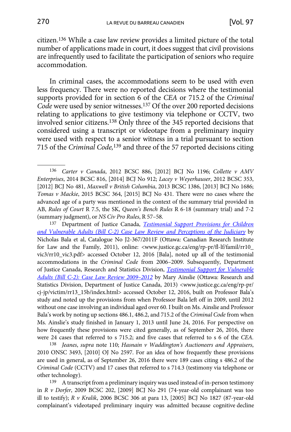citizen.136 While a case law review provides a limited picture of the total number of applications made in court, it does suggest that civil provisions are infrequently used to facilitate the participation of seniors who require accommodation.

In criminal cases, the accommodations seem to be used with even less frequency. There were no reported decisions where the testimonial supports provided for in section 6 of the *CEA* or 715.2 of the *Criminal Code* were used by senior witnesses.137 Of the over 200 reported decisions relating to applications to give testimony via telephone or CCTV, two involved senior citizens.138 Only three of the 345 reported decisions that considered using a transcript or videotape from a preliminary inquiry were used with respect to a senior witness in a trial pursuant to section 715 of the *Criminal Code,*139 and three of the 57 reported decisions citing

137 Department of Justice Canada, *T[estimonial Support Provisions for Children](http://www.justice.gc.ca/eng/rp-pr/fl-lf/famil/rr10_vic3/rr10_vic3.pdf)  [and Vulnerable Adults \(Bill C-2\) Case Law Review and Perceptions of the Judiciary](http://www.justice.gc.ca/eng/rp-pr/fl-lf/famil/rr10_vic3/rr10_vic3.pdf)* by Nicholas Bala et al, Catalogue No J2-367/2011F (Ottawa: Canadian Research Institute for Law and the Family, 2011), online: <www.justice.gc.ca/eng/rp-pr/fl-lf/famil/rr10\_ vic3/rr10\_vic3.pdf> accessed October 12, 2016 [Bala], noted up all of the testimonial accommodations in the *Criminal Code* from 2006–2009. Subsequently, Department of Justice Canada, Research and Statistics Division, *[Testimonial Support for Vulnerable](http://www.justice.gc.ca/eng/rp-pr/cj-jp/victim/rr13_15b/index.html)  [Adults \(Bill C-2\): Case Law Review 2009–2012](http://www.justice.gc.ca/eng/rp-pr/cj-jp/victim/rr13_15b/index.html)* by Mary Ainslie (Ottawa: Research and Statistics Division, Department of Justice Canada, 2013) <www.justice.gc.ca/eng/rp-pr/ cj-jp/victim/rr13\_15b/index.html> accessed October 12, 2016, built on Professor Bala's study and noted up the provisions from when Professor Bala left off in 2009, until 2012 without one case involving an individual aged over 60. I built on Ms. Ainslie and Professor Bala's work by noting up sections 486.1, 486.2, and 715.2 of the *Criminal Code* from when Ms. Ainslie's study finished in January 1, 2013 until June 24, 2016. For perspective on how frequently these provisions were cited generally, as of September 26, 2016, there were 24 cases that referred to s 715.2; and five cases that referred to s 6 of the *CEA.*

138 *Jeanes*, *supra* note 110; *Hasnain v Waddington's Auctioneers and Appraisers*, 2010 ONSC 3493, [2010] OJ No 2597. For an idea of how frequently these provisions are used in general, as of September 26, 2016 there were 189 cases citing s 486.2 of the *Criminal Code* (CCTV) and 17 cases that referred to s 714.3 (testimony via telephone or other technology).

139 A transcript from a preliminary inquiry was used instead of in-person testimony in *R v Dorfer*, 2009 BCSC 202, [2009] BCJ No 291 (74-year-old complainant was too ill to testify); *R v Kralik*, 2006 BCSC 306 at para 13, [2005] BCJ No 1827 (87-year-old complainant's videotaped preliminary inquiry was admitted because cognitive decline

<sup>136</sup> *Carter v Canada*, 2012 BCSC 886, [2012] BCJ No 1196; *Collette v AMV Enterprises*, 2014 BCSC 816, [2014] BCJ No 912; *Lacey v Weyerhauser*, 2012 BCSC 353, [2012] BCJ No 481, *Maxwell v British Columbia*, 2013 BCSC 1386, [2013] BCJ No 1686; *Tomas v Mackie*, 2015 BCSC 364, [2015] BCJ No 431. There were no cases where the advanced age of a party was mentioned in the context of the summary trial provided in AB, *Rules of Court* R 7.5, the SK, *Queen's Bench Rules* R 6-18 (summary trial) and 7-2 (summary judgment), or *NS Civ Pro Rules*, R 57–58.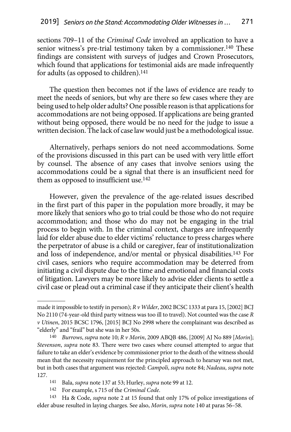sections 709–11 of the *Criminal Code* involved an application to have a senior witness's pre-trial testimony taken by a commissioner.<sup>140</sup> These findings are consistent with surveys of judges and Crown Prosecutors, which found that applications for testimonial aids are made infrequently for adults (as opposed to children).141

The question then becomes not if the laws of evidence are ready to meet the needs of seniors, but why are there so few cases where they are being used to help older adults? One possible reason is that applications for accommodations are not being opposed. If applications are being granted without being opposed, there would be no need for the judge to issue a written decision. The lack of case law would just be a methodological issue.

Alternatively, perhaps seniors do not need accommodations. Some of the provisions discussed in this part can be used with very little effort by counsel. The absence of any cases that involve seniors using the accommodations could be a signal that there is an insufficient need for them as opposed to insufficient use.<sup>142</sup>

However, given the prevalence of the age-related issues described in the first part of this paper in the population more broadly, it may be more likely that seniors who go to trial could be those who do not require accommodation; and those who do may not be engaging in the trial process to begin with. In the criminal context, charges are infrequently laid for elder abuse due to elder victims' reluctance to press charges where the perpetrator of abuse is a child or caregiver, fear of institutionalization and loss of independence, and/or mental or physical disabilities.143 For civil cases, seniors who require accommodation may be deterred from initiating a civil dispute due to the time and emotional and financial costs of litigation. Lawyers may be more likely to advise elder clients to settle a civil case or plead out a criminal case if they anticipate their client's health

- 141 Bala, *supra* note 137 at 53; Hurley, *supra* note 99 at 12.
- 142 For example, s 715 of the *Criminal Code*.

143 Ha & Code, *supra* note 2 at 15 found that only 17% of police investigations of elder abuse resulted in laying charges. See also, *Morin*, *supra* note 140 at paras 56–58.

made it impossible to testify in person); *R v Wilder*, 2002 BCSC 1333 at para 15, [2002] BCJ No 2110 (74-year-old third party witness was too ill to travel). Not counted was the case *R v Utinen*, 2015 BCSC 1796, [2015] BCJ No 2998 where the complainant was described as "elderly" and "frail" but she was in her 50s.

<sup>140</sup> *Burrows*, *supra* note 10; *R v Morin*, 2009 ABQB 486, [2009] AJ No 889 [*Morin*]; *Stevenson*, *supra* note 83. There were two cases where counsel attempted to argue that failure to take an elder's evidence by commissioner prior to the death of the witness should mean that the necessity requirement for the principled approach to hearsay was not met, but in both cases that argument was rejected: *Campoli*, *supra* note 84; *Nadeau*, *supra* note 127.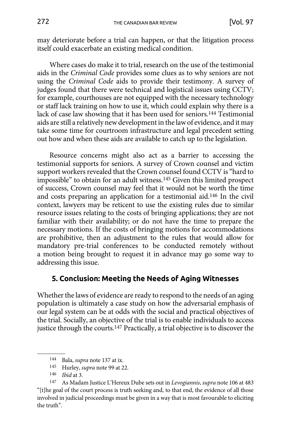<span id="page-32-0"></span>may deteriorate before a trial can happen, or that the litigation process itself could exacerbate an existing medical condition.

Where cases do make it to trial, research on the use of the testimonial aids in the *Criminal Code* provides some clues as to why seniors are not using the *Criminal Code* aids to provide their testimony. A survey of judges found that there were technical and logistical issues using CCTV; for example, courthouses are not equipped with the necessary technology or staff lack training on how to use it, which could explain why there is a lack of case law showing that it has been used for seniors.144 Testimonial aids are still a relatively new development in the law of evidence, and it may take some time for courtroom infrastructure and legal precedent setting out how and when these aids are available to catch up to the legislation.

Resource concerns might also act as a barrier to accessing the testimonial supports for seniors. A survey of Crown counsel and victim support workers revealed that the Crown counsel found CCTV is "hard to impossible" to obtain for an adult witness.145 Given this limited prospect of success, Crown counsel may feel that it would not be worth the time and costs preparing an application for a testimonial aid.146 In the civil context, lawyers may be reticent to use the existing rules due to similar resource issues relating to the costs of bringing applications; they are not familiar with their availability; or do not have the time to prepare the necessary motions. If the costs of bringing motions for accommodations are prohibitive, then an adjustment to the rules that would allow for mandatory pre-trial conferences to be conducted remotely without a motion being brought to request it in advance may go some way to addressing this issue.

#### **5. Conclusion: Meeting the Needs of Aging Witnesses**

Whether the laws of evidence are ready to respond to the needs of an aging population is ultimately a case study on how the adversarial emphasis of our legal system can be at odds with the social and practical objectives of the trial. Socially, an objective of the trial is to enable individuals to access justice through the courts.147 Practically, a trial objective is to discover the

<sup>144</sup> Bala, *supra* note 137 at ix.

<sup>145</sup> Hurley, *supra* note 99 at 22.

<sup>146</sup> *Ibid* at 3.

<sup>147</sup> As Madam Justice L'Hereux Dube sets out in *Levogiannis*, *supra* note 106 at 483 "[t]he goal of the court process is truth seeking and, to that end, the evidence of all those involved in judicial proceedings must be given in a way that is most favourable to eliciting the truth".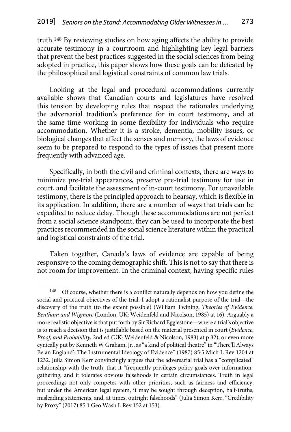truth.148 By reviewing studies on how aging affects the ability to provide accurate testimony in a courtroom and highlighting key legal barriers that prevent the best practices suggested in the social sciences from being adopted in practice, this paper shows how these goals can be defeated by the philosophical and logistical constraints of common law trials.

Looking at the legal and procedural accommodations currently available shows that Canadian courts and legislatures have resolved this tension by developing rules that respect the rationales underlying the adversarial tradition's preference for in court testimony, and at the same time working in some flexibility for individuals who require accommodation. Whether it is a stroke, dementia, mobility issues, or biological changes that affect the senses and memory, the laws of evidence seem to be prepared to respond to the types of issues that present more frequently with advanced age.

Specifically, in both the civil and criminal contexts, there are ways to minimize pre-trial appearances, preserve pre-trial testimony for use in court, and facilitate the assessment of in-court testimony. For unavailable testimony, there is the principled approach to hearsay, which is flexible in its application. In addition, there are a number of ways that trials can be expedited to reduce delay. Though these accommodations are not perfect from a social science standpoint, they can be used to incorporate the best practices recommended in the social science literature within the practical and logistical constraints of the trial.

Taken together, Canada's laws of evidence are capable of being responsive to the coming demographic shift. This is not to say that there is not room for improvement. In the criminal context, having specific rules

<sup>148</sup> Of course, whether there is a conflict naturally depends on how you define the social and practical objectives of the trial. I adopt a rationalist purpose of the trial—the discovery of the truth (to the extent possible) (William Twining, *Theories of Evidence: Bentham and Wigmore* (London, UK: Weidenfeld and Nicolson, 1985) at 16). Arguably a more realistic objective is that put forth by Sir Richard Egglestone—where a trial's objective is to reach a decision that is justifiable based on the material presented in court (*Evidence*, *Proof*, *and Probability*, 2nd ed (UK: Weidenfeld & Nicolson, 1983) at p 32), or even more cynically put by Kenneth W Graham, Jr., as "a kind of political theatre" in "There'll Always Be an England': The Instrumental Ideology of Evidence" (1987) 85:5 Mich L Rev 1204 at 1232. Julia Simon Kerr convincingly argues that the adversarial trial has a "complicated" relationship with the truth, that it "frequently privileges policy goals over informationgathering, and it tolerates obvious falsehoods in certain circumstances. Truth in legal proceedings not only competes with other priorities, such as fairness and efficiency, but under the American legal system, it may be sought through deception, half-truths, misleading statements, and, at times, outright falsehoods" (Julia Simon Kerr, "Credibility by Proxy" (2017) 85:1 Geo Wash L Rev 152 at 153).